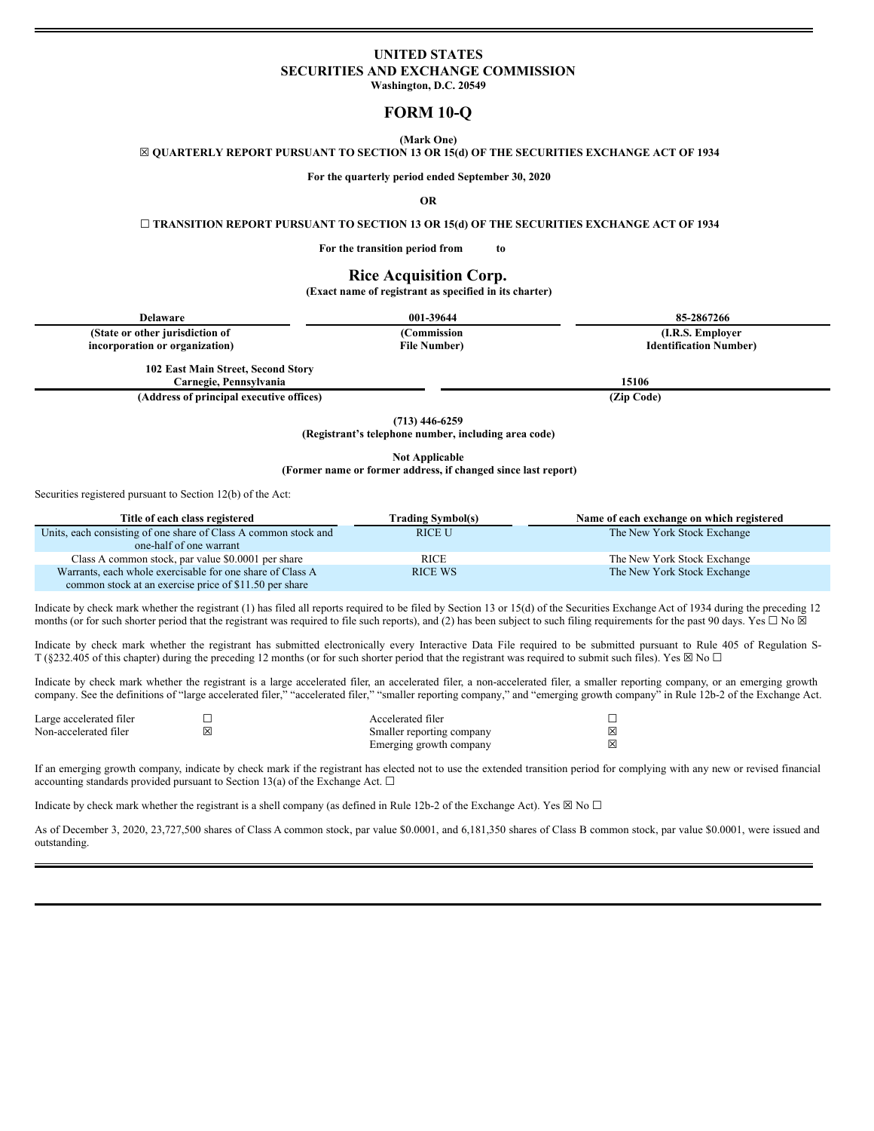# **UNITED STATES SECURITIES AND EXCHANGE COMMISSION**

**Washington, D.C. 20549**

# **FORM 10-Q**

# **(Mark One)**

☒ **QUARTERLY REPORT PURSUANT TO SECTION 13 OR 15(d) OF THE SECURITIES EXCHANGE ACT OF 1934**

**For the quarterly period ended September 30, 2020**

#### **OR**

## ☐ **TRANSITION REPORT PURSUANT TO SECTION 13 OR 15(d) OF THE SECURITIES EXCHANGE ACT OF 1934**

**For the transition period from to**

# **Rice Acquisition Corp.**

**(Exact name of registrant as specified in its charter)**

| <b>Delaware</b>                          | 001-39644           | 85-2867266                    |
|------------------------------------------|---------------------|-------------------------------|
| (State or other jurisdiction of          | (Commission         | (I.R.S. Employer)             |
| incorporation or organization)           | <b>File Number)</b> | <b>Identification Number)</b> |
| 102 East Main Street, Second Story       |                     |                               |
| Carnegie, Pennsylvania                   |                     | 15106                         |
| (Address of principal executive offices) |                     | (Zip Code)                    |
|                                          |                     |                               |

**(713) 446-6259**

**(Registrant's telephone number, including area code)**

**Not Applicable**

**(Former name or former address, if changed since last report)**

Securities registered pursuant to Section 12(b) of the Act:

| Title of each class registered                                  | Trading Symbol(s) | Name of each exchange on which registered |
|-----------------------------------------------------------------|-------------------|-------------------------------------------|
| Units, each consisting of one share of Class A common stock and | <b>RICE U</b>     | The New York Stock Exchange               |
| one-half of one warrant                                         |                   |                                           |
| Class A common stock, par value \$0,0001 per share              | RICE              | The New York Stock Exchange               |
| Warrants, each whole exercisable for one share of Class A       | RICE WS           | The New York Stock Exchange               |
| common stock at an exercise price of \$11.50 per share          |                   |                                           |

Indicate by check mark whether the registrant (1) has filed all reports required to be filed by Section 13 or 15(d) of the Securities Exchange Act of 1934 during the preceding 12 months (or for such shorter period that the registrant was required to file such reports), and (2) has been subject to such filing requirements for the past 90 days. Yes  $\Box$  No  $\boxtimes$ 

Indicate by check mark whether the registrant has submitted electronically every Interactive Data File required to be submitted pursuant to Rule 405 of Regulation S-T (§232.405 of this chapter) during the preceding 12 months (or for such shorter period that the registrant was required to submit such files). Yes  $\boxtimes$  No  $\Box$ 

Indicate by check mark whether the registrant is a large accelerated filer, an accelerated filer, a non-accelerated filer, a smaller reporting company, or an emerging growth company. See the definitions of "large accelerated filer," "accelerated filer," "smaller reporting company," and "emerging growth company" in Rule 12b-2 of the Exchange Act.

| Large accelerated filer |   | Accelerated filer         |  |
|-------------------------|---|---------------------------|--|
| Non-accelerated filer   | × | Smaller reporting company |  |
|                         |   | Emerging growth company   |  |

If an emerging growth company, indicate by check mark if the registrant has elected not to use the extended transition period for complying with any new or revised financial accounting standards provided pursuant to Section 13(a) of the Exchange Act.  $\Box$ 

Indicate by check mark whether the registrant is a shell company (as defined in Rule 12b-2 of the Exchange Act). Yes  $\boxtimes$  No  $\Box$ 

As of December 3, 2020, 23,727,500 shares of Class A common stock, par value \$0.0001, and 6,181,350 shares of Class B common stock, par value \$0.0001, were issued and outstanding.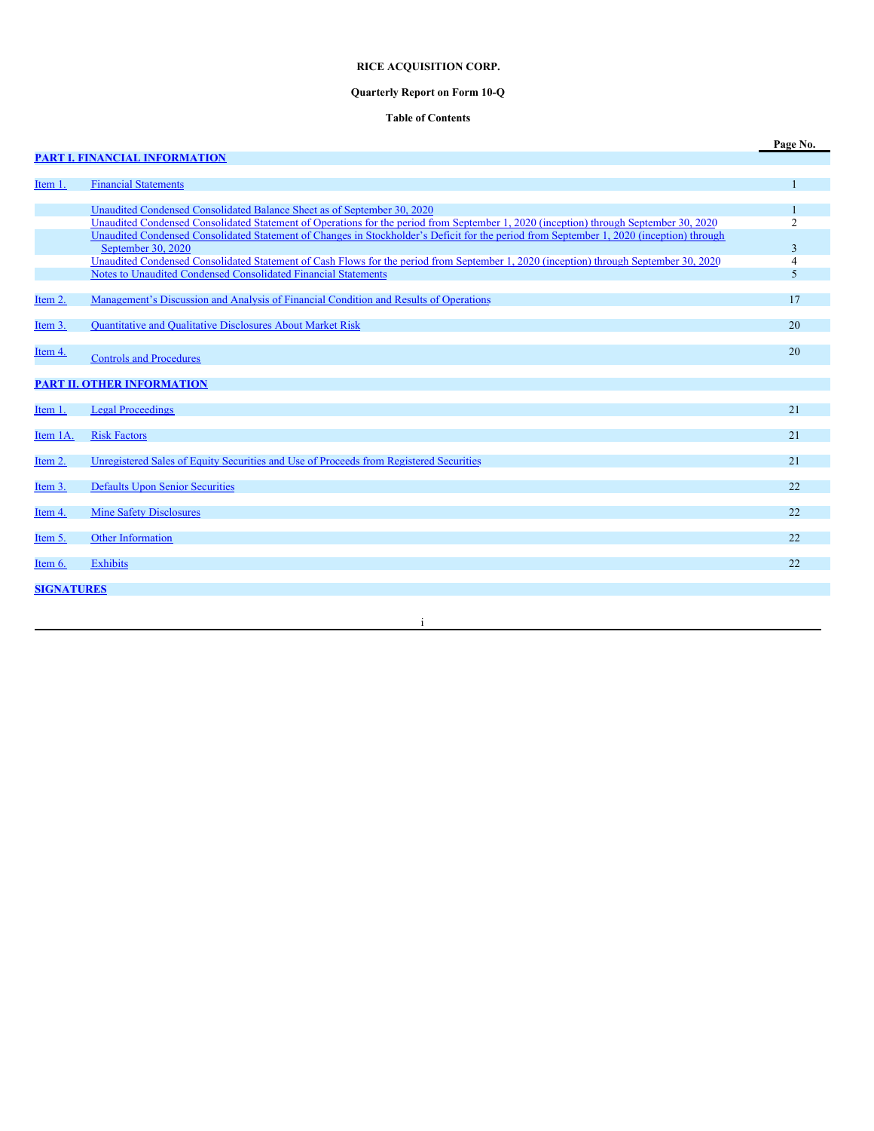# **RICE ACQUISITION CORP.**

# **Quarterly Report on Form 10-Q**

# **Table of Contents**

|                   |                                                                                                                                                                                                                  | Page No.            |
|-------------------|------------------------------------------------------------------------------------------------------------------------------------------------------------------------------------------------------------------|---------------------|
|                   | <b>PART I. FINANCIAL INFORMATION</b>                                                                                                                                                                             |                     |
| Item 1.           | <b>Financial Statements</b>                                                                                                                                                                                      |                     |
|                   | Unaudited Condensed Consolidated Balance Sheet as of September 30, 2020<br>Unaudited Condensed Consolidated Statement of Operations for the period from September 1, 2020 (inception) through September 30, 2020 | $\overline{2}$      |
|                   | Unaudited Condensed Consolidated Statement of Changes in Stockholder's Deficit for the period from September 1, 2020 (inception) through<br>September 30, 2020                                                   | 3                   |
|                   | Unaudited Condensed Consolidated Statement of Cash Flows for the period from September 1, 2020 (inception) through September 30, 2020<br>Notes to Unaudited Condensed Consolidated Financial Statements          | $\overline{4}$<br>5 |
| Item 2.           | Management's Discussion and Analysis of Financial Condition and Results of Operations                                                                                                                            | 17                  |
| Item 3.           | Quantitative and Qualitative Disclosures About Market Risk                                                                                                                                                       | 20                  |
| Item 4.           | <b>Controls and Procedures</b>                                                                                                                                                                                   | 20                  |
|                   | <b>PART II. OTHER INFORMATION</b>                                                                                                                                                                                |                     |
| Item 1.           | <b>Legal Proceedings</b>                                                                                                                                                                                         | 21                  |
| Item 1A.          | <b>Risk Factors</b>                                                                                                                                                                                              | 21                  |
| Item 2.           | Unregistered Sales of Equity Securities and Use of Proceeds from Registered Securities                                                                                                                           | 21                  |
| Item 3.           | <b>Defaults Upon Senior Securities</b>                                                                                                                                                                           | 22                  |
| Item 4.           | <b>Mine Safety Disclosures</b>                                                                                                                                                                                   | 22                  |
| Item 5.           | <b>Other Information</b>                                                                                                                                                                                         | 22                  |
| Item 6.           | <b>Exhibits</b>                                                                                                                                                                                                  | 22                  |
| <b>SIGNATURES</b> |                                                                                                                                                                                                                  |                     |
|                   | $\mathbf{1}$                                                                                                                                                                                                     |                     |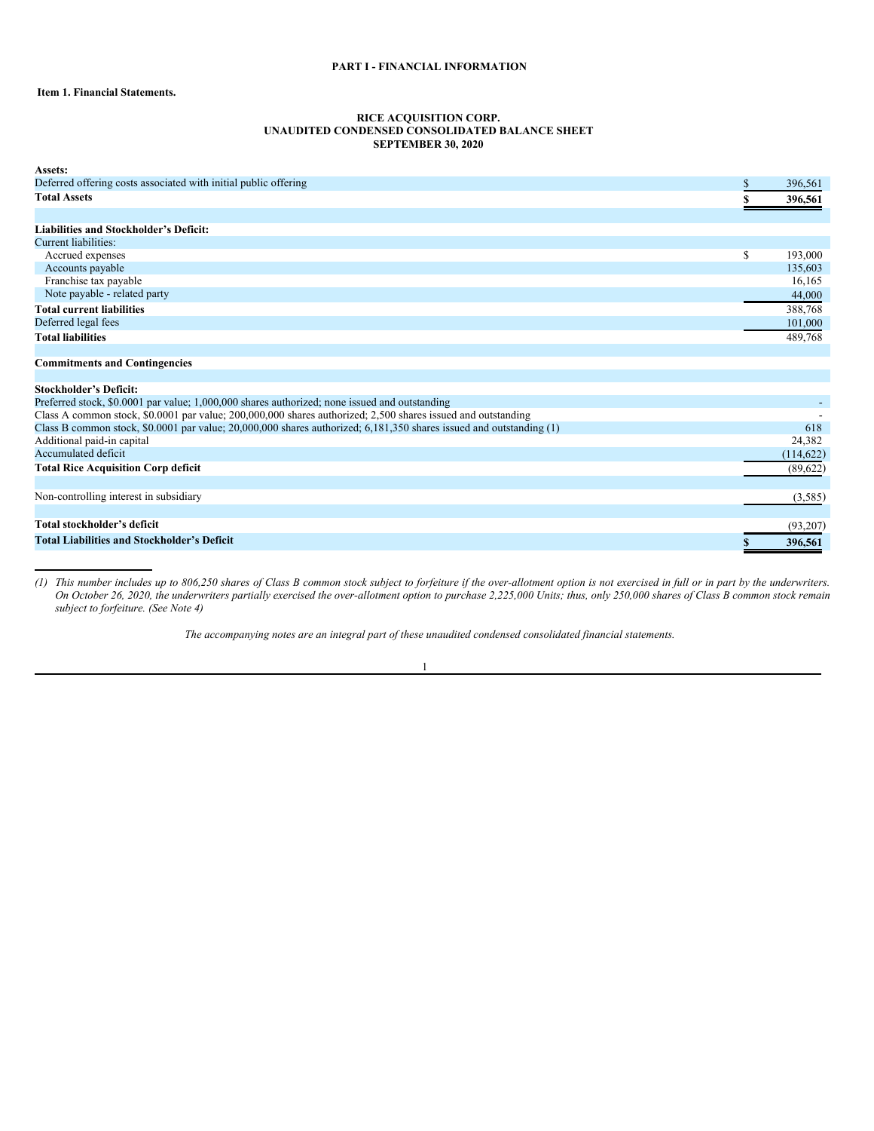## <span id="page-2-2"></span><span id="page-2-0"></span>**PART I - FINANCIAL INFORMATION**

# <span id="page-2-1"></span>**Item 1. Financial Statements.**

# **RICE ACQUISITION CORP. UNAUDITED CONDENSED CONSOLIDATED BALANCE SHEET SEPTEMBER 30, 2020**

| Assets:                                                                                                                  |               |
|--------------------------------------------------------------------------------------------------------------------------|---------------|
| Deferred offering costs associated with initial public offering                                                          | 396.561       |
| <b>Total Assets</b>                                                                                                      | 396,561       |
|                                                                                                                          |               |
| <b>Liabilities and Stockholder's Deficit:</b>                                                                            |               |
| Current liabilities:                                                                                                     |               |
| Accrued expenses                                                                                                         | \$<br>193,000 |
| Accounts payable                                                                                                         | 135,603       |
| Franchise tax payable                                                                                                    | 16,165        |
| Note payable - related party                                                                                             | 44,000        |
| <b>Total current liabilities</b>                                                                                         | 388,768       |
| Deferred legal fees                                                                                                      | 101,000       |
| <b>Total liabilities</b>                                                                                                 | 489,768       |
|                                                                                                                          |               |
| <b>Commitments and Contingencies</b>                                                                                     |               |
|                                                                                                                          |               |
| <b>Stockholder's Deficit:</b>                                                                                            |               |
| Preferred stock, \$0,0001 par value; 1,000,000 shares authorized; none issued and outstanding                            |               |
| Class A common stock, \$0.0001 par value; 200,000,000 shares authorized; 2,500 shares issued and outstanding             |               |
| Class B common stock, $$0.0001$ par value; $20,000,000$ shares authorized; $6,181,350$ shares issued and outstanding (1) | 618           |
| Additional paid-in capital                                                                                               | 24,382        |
| Accumulated deficit                                                                                                      | (114, 622)    |
| <b>Total Rice Acquisition Corp deficit</b>                                                                               | (89, 622)     |
|                                                                                                                          |               |
| Non-controlling interest in subsidiary                                                                                   | (3,585)       |
|                                                                                                                          |               |
| Total stockholder's deficit                                                                                              | (93,207)      |
| <b>Total Liabilities and Stockholder's Deficit</b>                                                                       | 396,561       |
|                                                                                                                          |               |

(1) This number includes up to 806,250 shares of Class B common stock subject to forfeiture if the over-allotment option is not exercised in full or in part by the underwriters. On October 26, 2020, the underwriters partially exercised the over-allotment option to purchase 2,225,000 Units; thus, only 250,000 shares of Class B common stock remain *subject to forfeiture. (See Note 4)*

*The accompanying notes are an integral part of these unaudited condensed consolidated financial statements.*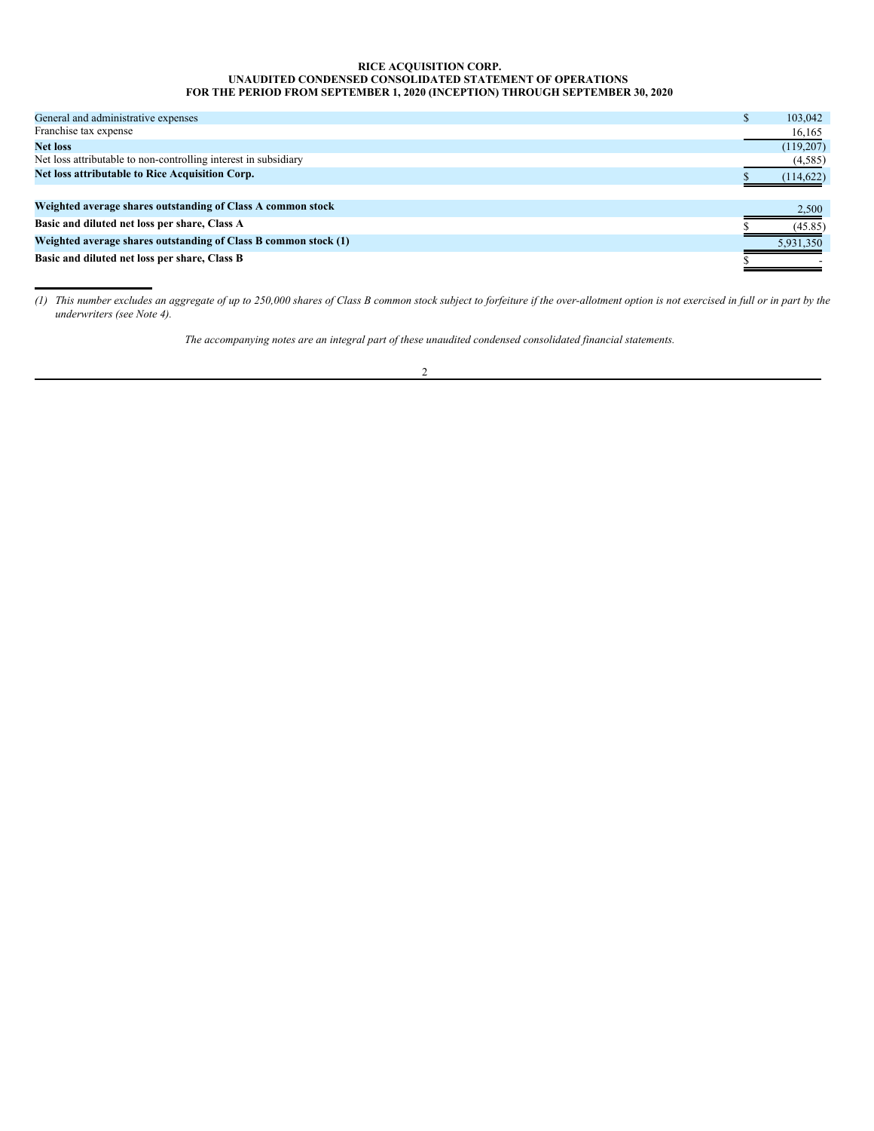## <span id="page-3-0"></span>**RICE ACQUISITION CORP. UNAUDITED CONDENSED CONSOLIDATED STATEMENT OF OPERATIONS FOR THE PERIOD FROM SEPTEMBER 1, 2020 (INCEPTION) THROUGH SEPTEMBER 30, 2020**

| General and administrative expenses                             | 103,042    |
|-----------------------------------------------------------------|------------|
| Franchise tax expense                                           | 16,165     |
| <b>Net loss</b>                                                 | (119,207)  |
| Net loss attributable to non-controlling interest in subsidiary | (4, 585)   |
| Net loss attributable to Rice Acquisition Corp.                 | (114, 622) |
|                                                                 |            |
| Weighted average shares outstanding of Class A common stock     | 2,500      |
| Basic and diluted net loss per share, Class A                   | (45.85)    |
| Weighted average shares outstanding of Class B common stock (1) | 5,931,350  |
| Basic and diluted net loss per share, Class B                   |            |
|                                                                 |            |

(1) This number excludes an aggregate of up to 250,000 shares of Class B common stock subject to forfeiture if the over-allotment option is not exercised in full or in part by the *underwriters (see Note 4).*

*The accompanying notes are an integral part of these unaudited condensed consolidated financial statements.*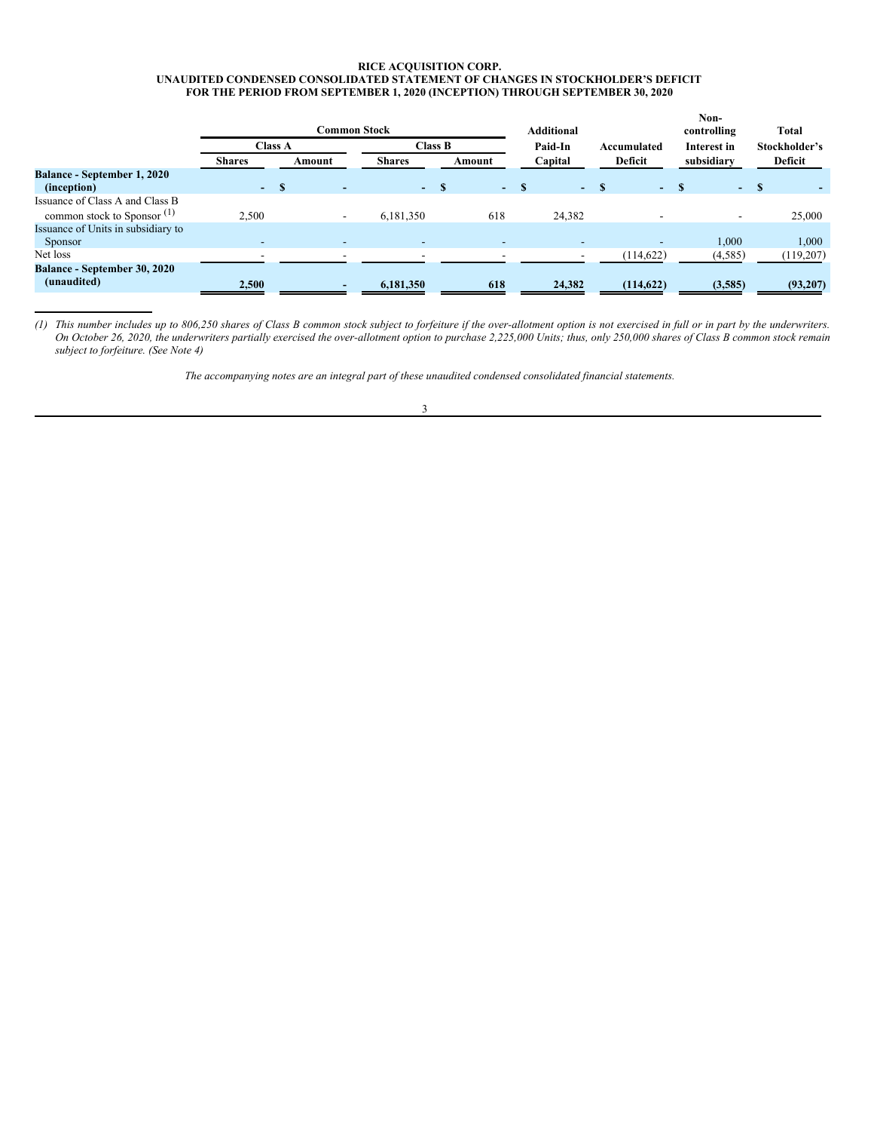# <span id="page-4-0"></span>**RICE ACQUISITION CORP. UNAUDITED CONDENSED CONSOLIDATED STATEMENT OF CHANGES IN STOCKHOLDER'S DEFICIT FOR THE PERIOD FROM SEPTEMBER 1, 2020 (INCEPTION) THROUGH SEPTEMBER 30, 2020**

|                                        |                | <b>Common Stock</b> |               |                |        | <b>Additional</b> |        |                | Non-<br>controlling      | <b>Total</b>               |
|----------------------------------------|----------------|---------------------|---------------|----------------|--------|-------------------|--------|----------------|--------------------------|----------------------------|
|                                        | <b>Class A</b> |                     |               | <b>Class B</b> |        | Paid-In           |        | Accumulated    | Interest in              | Stockholder's              |
|                                        | <b>Shares</b>  | Amount              | <b>Shares</b> |                | Amount | Capital           |        | <b>Deficit</b> | subsidiary               | Deficit                    |
| <b>Balance - September 1, 2020</b>     |                |                     |               |                |        |                   |        |                |                          |                            |
| (inception)                            | $\sim$         |                     | $-$ \$        |                | $-$ \$ |                   | $-$ \$ | $-$ \$         |                          | $\mathbf{s}$<br>$\sim 100$ |
| Issuance of Class A and Class B        |                |                     |               |                |        |                   |        |                |                          |                            |
| common stock to Sponsor <sup>(1)</sup> | 2,500          |                     | 6,181,350     |                | 618    | 24,382            |        |                | $\overline{\phantom{a}}$ | 25,000                     |
| Issuance of Units in subsidiary to     |                |                     |               |                |        |                   |        |                |                          |                            |
| Sponsor                                |                |                     |               |                |        |                   |        |                | 1,000                    | 1,000                      |
| Net loss                               |                |                     |               |                |        |                   |        | (114, 622)     | (4,585)                  | (119,207)                  |
| Balance - September 30, 2020           |                |                     |               |                |        |                   |        |                |                          |                            |
| (unaudited)                            | 2,500          |                     | 6,181,350     |                | 618    | 24,382            |        | (114, 622)     | (3,585)                  | (93,207)                   |

(1) This number includes up to 806,250 shares of Class B common stock subject to forfeiture if the over-allotment option is not exercised in full or in part by the underwriters. On October 26, 2020, the underwriters partially exercised the over-allotment option to purchase 2,225,000 Units; thus, only 250,000 shares of Class B common stock remain *subject to forfeiture. (See Note 4)*

*The accompanying notes are an integral part of these unaudited condensed consolidated financial statements.*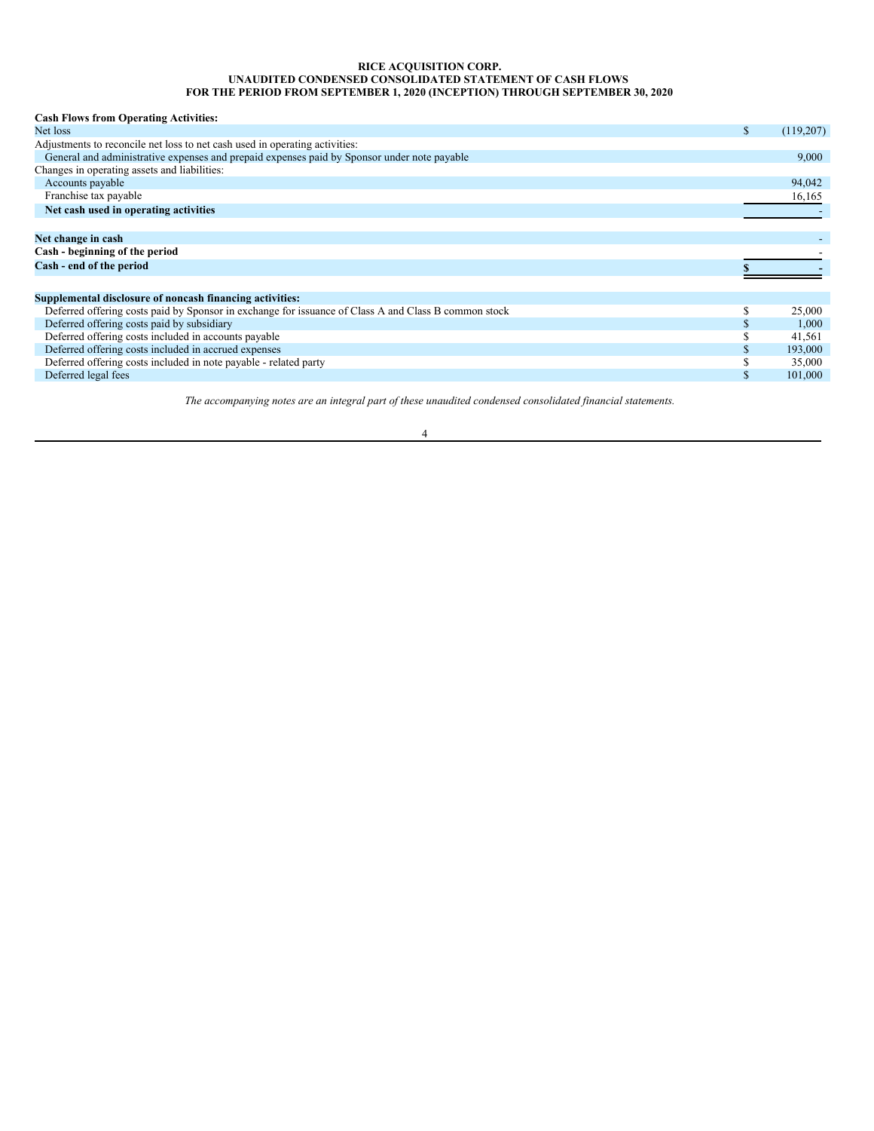#### <span id="page-5-0"></span>**RICE ACQUISITION CORP. UNAUDITED CONDENSED CONSOLIDATED STATEMENT OF CASH FLOWS FOR THE PERIOD FROM SEPTEMBER 1, 2020 (INCEPTION) THROUGH SEPTEMBER 30, 2020**

| <b>Cash Flows from Operating Activities:</b>                                                         |                 |
|------------------------------------------------------------------------------------------------------|-----------------|
| Net loss                                                                                             | \$<br>(119,207) |
| Adjustments to reconcile net loss to net cash used in operating activities:                          |                 |
| General and administrative expenses and prepaid expenses paid by Sponsor under note payable          | 9,000           |
| Changes in operating assets and liabilities:                                                         |                 |
| Accounts payable                                                                                     | 94,042          |
| Franchise tax payable                                                                                | 16,165          |
| Net cash used in operating activities                                                                |                 |
|                                                                                                      |                 |
| Net change in cash                                                                                   |                 |
| Cash - beginning of the period                                                                       |                 |
| Cash - end of the period                                                                             |                 |
|                                                                                                      |                 |
| Supplemental disclosure of noncash financing activities:                                             |                 |
| Deferred offering costs paid by Sponsor in exchange for issuance of Class A and Class B common stock | \$<br>25,000    |
| Deferred offering costs paid by subsidiary                                                           | 1,000           |
| Deferred offering costs included in accounts payable                                                 | 41,561          |
| Deferred offering costs included in accrued expenses                                                 | 193,000         |
| Deferred offering costs included in note payable - related party                                     | 35,000          |
| Deferred legal fees                                                                                  | 101,000         |

*The accompanying notes are an integral part of these unaudited condensed consolidated financial statements.*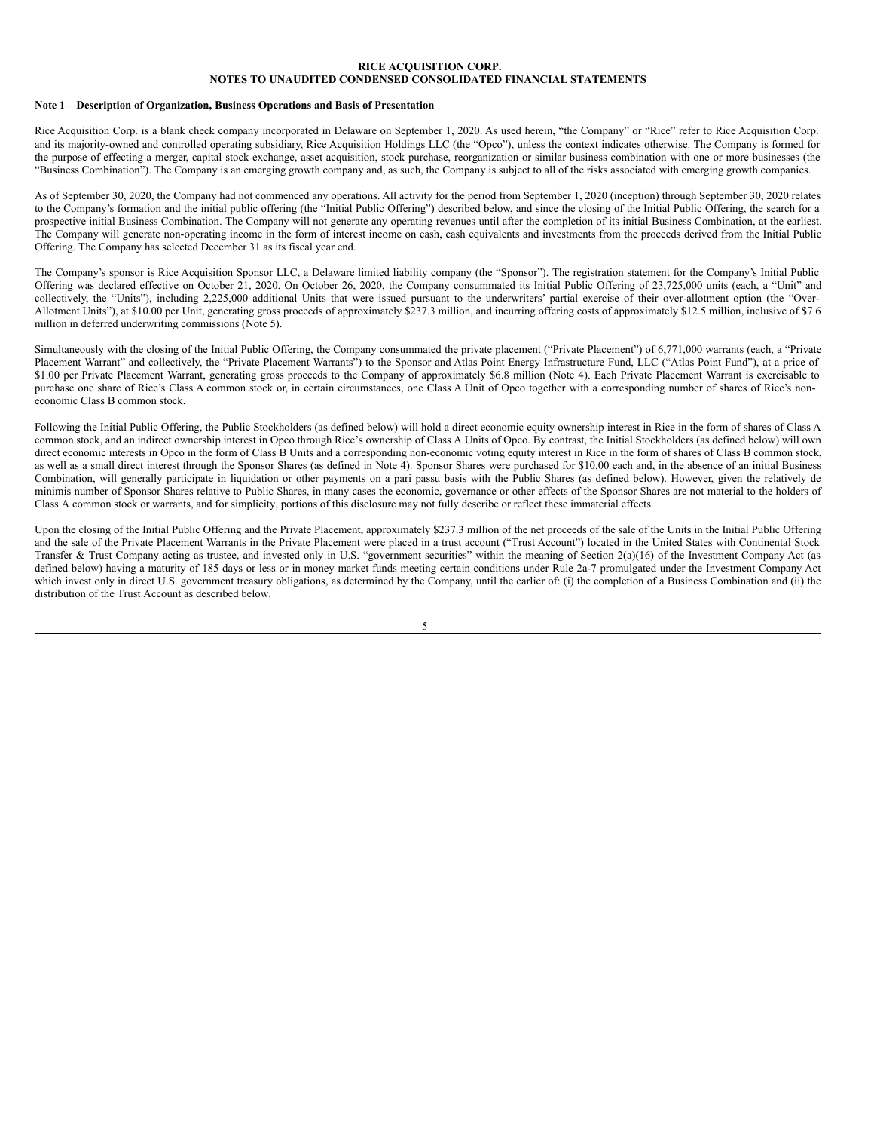## <span id="page-6-0"></span>**Note 1—Description of Organization, Business Operations and Basis of Presentation**

Rice Acquisition Corp. is a blank check company incorporated in Delaware on September 1, 2020. As used herein, "the Company" or "Rice" refer to Rice Acquisition Corp. and its majority-owned and controlled operating subsidiary, Rice Acquisition Holdings LLC (the "Opco"), unless the context indicates otherwise. The Company is formed for the purpose of effecting a merger, capital stock exchange, asset acquisition, stock purchase, reorganization or similar business combination with one or more businesses (the "Business Combination"). The Company is an emerging growth company and, as such, the Company is subject to all of the risks associated with emerging growth companies.

As of September 30, 2020, the Company had not commenced any operations. All activity for the period from September 1, 2020 (inception) through September 30, 2020 relates to the Company's formation and the initial public offering (the "Initial Public Offering") described below, and since the closing of the Initial Public Offering, the search for a prospective initial Business Combination. The Company will not generate any operating revenues until after the completion of its initial Business Combination, at the earliest. The Company will generate non-operating income in the form of interest income on cash, cash equivalents and investments from the proceeds derived from the Initial Public Offering. The Company has selected December 31 as its fiscal year end.

The Company's sponsor is Rice Acquisition Sponsor LLC, a Delaware limited liability company (the "Sponsor"). The registration statement for the Company's Initial Public Offering was declared effective on October 21, 2020. On October 26, 2020, the Company consummated its Initial Public Offering of 23,725,000 units (each, a "Unit" and collectively, the "Units"), including 2,225,000 additional Units that were issued pursuant to the underwriters' partial exercise of their over-allotment option (the "Over-Allotment Units"), at \$10.00 per Unit, generating gross proceeds of approximately \$237.3 million, and incurring offering costs of approximately \$12.5 million, inclusive of \$7.6 million in deferred underwriting commissions (Note 5).

Simultaneously with the closing of the Initial Public Offering, the Company consummated the private placement ("Private Placement") of 6,771,000 warrants (each, a "Private Placement Warrant" and collectively, the "Private Placement Warrants") to the Sponsor and Atlas Point Energy Infrastructure Fund, LLC ("Atlas Point Fund"), at a price of \$1.00 per Private Placement Warrant, generating gross proceeds to the Company of approximately \$6.8 million (Note 4). Each Private Placement Warrant is exercisable to purchase one share of Rice's Class A common stock or, in certain circumstances, one Class A Unit of Opco together with a corresponding number of shares of Rice's noneconomic Class B common stock.

Following the Initial Public Offering, the Public Stockholders (as defined below) will hold a direct economic equity ownership interest in Rice in the form of shares of Class A common stock, and an indirect ownership interest in Opco through Rice's ownership of Class A Units of Opco. By contrast, the Initial Stockholders (as defined below) will own direct economic interests in Opco in the form of Class B Units and a corresponding non-economic voting equity interest in Rice in the form of shares of Class B common stock, as well as a small direct interest through the Sponsor Shares (as defined in Note 4). Sponsor Shares were purchased for \$10.00 each and, in the absence of an initial Business Combination, will generally participate in liquidation or other payments on a pari passu basis with the Public Shares (as defined below). However, given the relatively de minimis number of Sponsor Shares relative to Public Shares, in many cases the economic, governance or other effects of the Sponsor Shares are not material to the holders of Class A common stock or warrants, and for simplicity, portions of this disclosure may not fully describe or reflect these immaterial effects.

Upon the closing of the Initial Public Offering and the Private Placement, approximately \$237.3 million of the net proceeds of the sale of the Units in the Initial Public Offering and the sale of the Private Placement Warrants in the Private Placement were placed in a trust account ("Trust Account") located in the United States with Continental Stock Transfer & Trust Company acting as trustee, and invested only in U.S. "government securities" within the meaning of Section 2(a)(16) of the Investment Company Act (as defined below) having a maturity of 185 days or less or in money market funds meeting certain conditions under Rule 2a-7 promulgated under the Investment Company Act which invest only in direct U.S. government treasury obligations, as determined by the Company, until the earlier of: (i) the completion of a Business Combination and (ii) the distribution of the Trust Account as described below.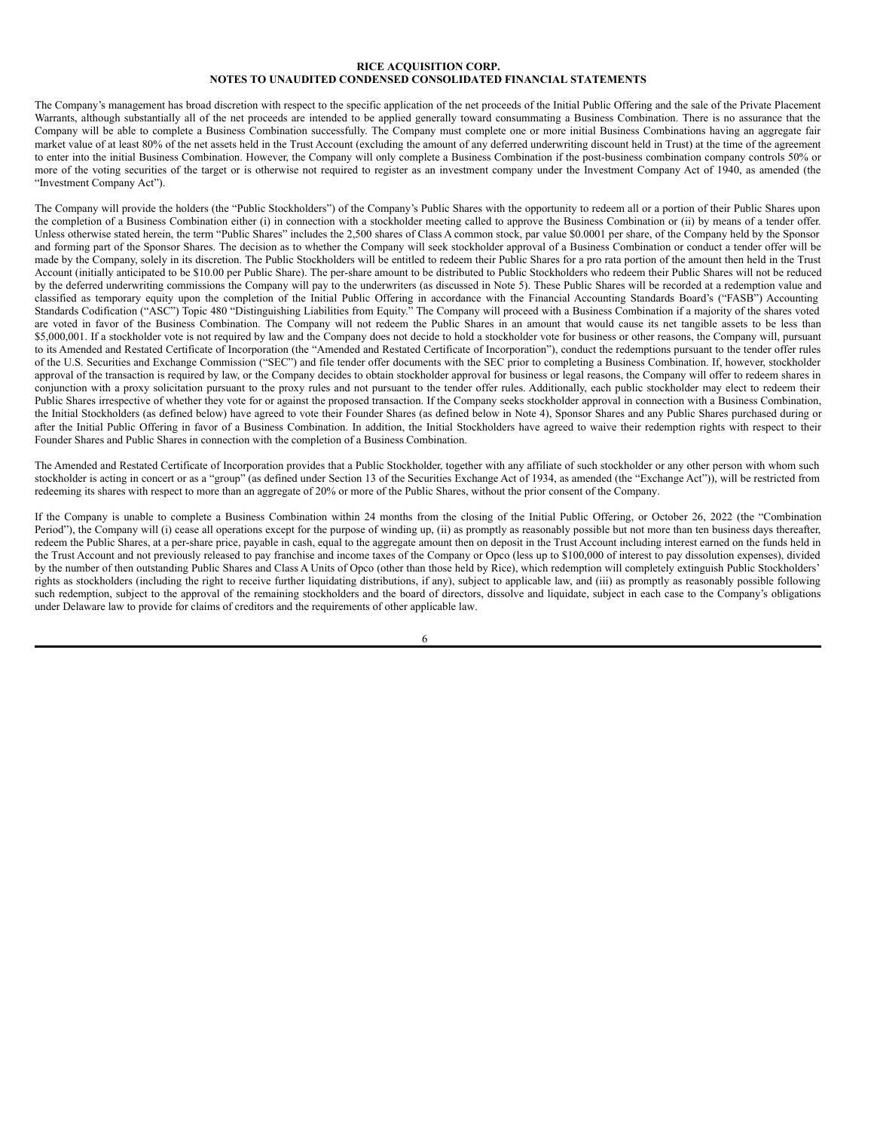The Company's management has broad discretion with respect to the specific application of the net proceeds of the Initial Public Offering and the sale of the Private Placement Warrants, although substantially all of the net proceeds are intended to be applied generally toward consummating a Business Combination. There is no assurance that the Company will be able to complete a Business Combination successfully. The Company must complete one or more initial Business Combinations having an aggregate fair market value of at least 80% of the net assets held in the Trust Account (excluding the amount of any deferred underwriting discount held in Trust) at the time of the agreement to enter into the initial Business Combination. However, the Company will only complete a Business Combination if the post-business combination company controls 50% or more of the voting securities of the target or is otherwise not required to register as an investment company under the Investment Company Act of 1940, as amended (the "Investment Company Act").

The Company will provide the holders (the "Public Stockholders") of the Company's Public Shares with the opportunity to redeem all or a portion of their Public Shares upon the completion of a Business Combination either (i) in connection with a stockholder meeting called to approve the Business Combination or (ii) by means of a tender offer. Unless otherwise stated herein, the term "Public Shares" includes the 2,500 shares of Class A common stock, par value \$0.0001 per share, of the Company held by the Sponsor and forming part of the Sponsor Shares. The decision as to whether the Company will seek stockholder approval of a Business Combination or conduct a tender offer will be made by the Company, solely in its discretion. The Public Stockholders will be entitled to redeem their Public Shares for a pro rata portion of the amount then held in the Trust Account (initially anticipated to be \$10.00 per Public Share). The per-share amount to be distributed to Public Stockholders who redeem their Public Shares will not be reduced by the deferred underwriting commissions the Company will pay to the underwriters (as discussed in Note 5). These Public Shares will be recorded at a redemption value and classified as temporary equity upon the completion of the Initial Public Offering in accordance with the Financial Accounting Standards Board's ("FASB") Accounting Standards Codification ("ASC") Topic 480 "Distinguishing Liabilities from Equity." The Company will proceed with a Business Combination if a majority of the shares voted are voted in favor of the Business Combination. The Company will not redeem the Public Shares in an amount that would cause its net tangible assets to be less than \$5,000,001. If a stockholder vote is not required by law and the Company does not decide to hold a stockholder vote for business or other reasons, the Company will, pursuant to its Amended and Restated Certificate of Incorporation (the "Amended and Restated Certificate of Incorporation"), conduct the redemptions pursuant to the tender offer rules of the U.S. Securities and Exchange Commission ("SEC") and file tender offer documents with the SEC prior to completing a Business Combination. If, however, stockholder approval of the transaction is required by law, or the Company decides to obtain stockholder approval for business or legal reasons, the Company will offer to redeem shares in conjunction with a proxy solicitation pursuant to the proxy rules and not pursuant to the tender offer rules. Additionally, each public stockholder may elect to redeem their Public Shares irrespective of whether they vote for or against the proposed transaction. If the Company seeks stockholder approval in connection with a Business Combination, the Initial Stockholders (as defined below) have agreed to vote their Founder Shares (as defined below in Note 4), Sponsor Shares and any Public Shares purchased during or after the Initial Public Offering in favor of a Business Combination. In addition, the Initial Stockholders have agreed to waive their redemption rights with respect to their Founder Shares and Public Shares in connection with the completion of a Business Combination.

The Amended and Restated Certificate of Incorporation provides that a Public Stockholder, together with any affiliate of such stockholder or any other person with whom such stockholder is acting in concert or as a "group" (as defined under Section 13 of the Securities Exchange Act of 1934, as amended (the "Exchange Act")), will be restricted from redeeming its shares with respect to more than an aggregate of 20% or more of the Public Shares, without the prior consent of the Company.

If the Company is unable to complete a Business Combination within 24 months from the closing of the Initial Public Offering, or October 26, 2022 (the "Combination Period"), the Company will (i) cease all operations except for the purpose of winding up, (ii) as promptly as reasonably possible but not more than ten business days thereafter, redeem the Public Shares, at a per-share price, payable in cash, equal to the aggregate amount then on deposit in the Trust Account including interest earned on the funds held in the Trust Account and not previously released to pay franchise and income taxes of the Company or Opco (less up to \$100,000 of interest to pay dissolution expenses), divided by the number of then outstanding Public Shares and Class A Units of Opco (other than those held by Rice), which redemption will completely extinguish Public Stockholders' rights as stockholders (including the right to receive further liquidating distributions, if any), subject to applicable law, and (iii) as promptly as reasonably possible following such redemption, subject to the approval of the remaining stockholders and the board of directors, dissolve and liquidate, subject in each case to the Company's obligations under Delaware law to provide for claims of creditors and the requirements of other applicable law.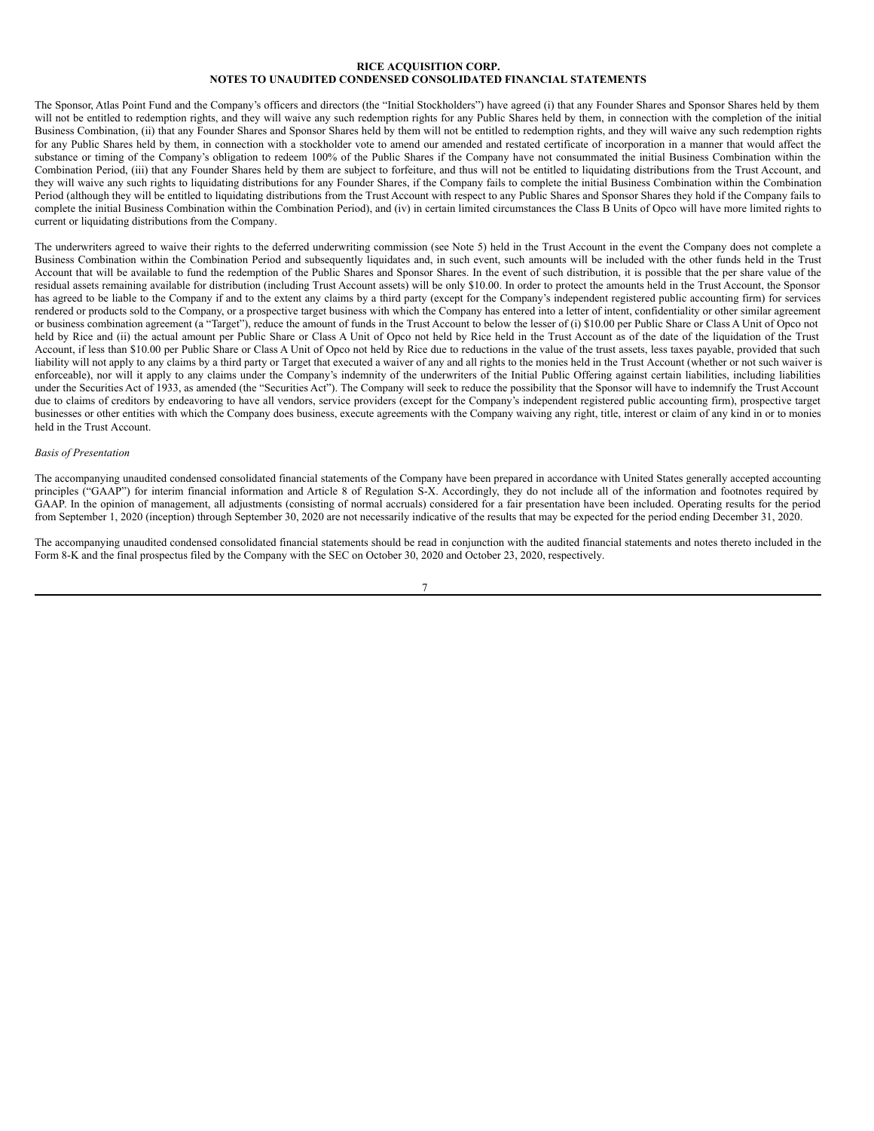The Sponsor, Atlas Point Fund and the Company's officers and directors (the "Initial Stockholders") have agreed (i) that any Founder Shares and Sponsor Shares held by them will not be entitled to redemption rights, and they will waive any such redemption rights for any Public Shares held by them, in connection with the completion of the initial Business Combination, (ii) that any Founder Shares and Sponsor Shares held by them will not be entitled to redemption rights, and they will waive any such redemption rights for any Public Shares held by them, in connection with a stockholder vote to amend our amended and restated certificate of incorporation in a manner that would affect the substance or timing of the Company's obligation to redeem 100% of the Public Shares if the Company have not consummated the initial Business Combination within the Combination Period, (iii) that any Founder Shares held by them are subject to forfeiture, and thus will not be entitled to liquidating distributions from the Trust Account, and they will waive any such rights to liquidating distributions for any Founder Shares, if the Company fails to complete the initial Business Combination within the Combination Period (although they will be entitled to liquidating distributions from the Trust Account with respect to any Public Shares and Sponsor Shares they hold if the Company fails to complete the initial Business Combination within the Combination Period), and (iv) in certain limited circumstances the Class B Units of Opco will have more limited rights to current or liquidating distributions from the Company.

The underwriters agreed to waive their rights to the deferred underwriting commission (see Note 5) held in the Trust Account in the event the Company does not complete a Business Combination within the Combination Period and subsequently liquidates and, in such event, such amounts will be included with the other funds held in the Trust Account that will be available to fund the redemption of the Public Shares and Sponsor Shares. In the event of such distribution, it is possible that the per share value of the residual assets remaining available for distribution (including Trust Account assets) will be only \$10.00. In order to protect the amounts held in the Trust Account, the Sponsor has agreed to be liable to the Company if and to the extent any claims by a third party (except for the Company's independent registered public accounting firm) for services rendered or products sold to the Company, or a prospective target business with which the Company has entered into a letter of intent, confidentiality or other similar agreement or business combination agreement (a "Target"), reduce the amount of funds in the Trust Account to below the lesser of (i) \$10.00 per Public Share or Class A Unit of Opco not held by Rice and (ii) the actual amount per Public Share or Class A Unit of Opco not held by Rice held in the Trust Account as of the date of the liquidation of the Trust Account, if less than \$10.00 per Public Share or Class A Unit of Opco not held by Rice due to reductions in the value of the trust assets, less taxes payable, provided that such liability will not apply to any claims by a third party or Target that executed a waiver of any and all rights to the monies held in the Trust Account (whether or not such waiver is enforceable), nor will it apply to any claims under the Company's indemnity of the underwriters of the Initial Public Offering against certain liabilities, including liabilities under the Securities Act of 1933, as amended (the "Securities Act"). The Company will seek to reduce the possibility that the Sponsor will have to indemnify the Trust Account due to claims of creditors by endeavoring to have all vendors, service providers (except for the Company's independent registered public accounting firm), prospective target businesses or other entities with which the Company does business, execute agreements with the Company waiving any right, title, interest or claim of any kind in or to monies held in the Trust Account.

#### *Basis of Presentation*

The accompanying unaudited condensed consolidated financial statements of the Company have been prepared in accordance with United States generally accepted accounting principles ("GAAP") for interim financial information and Article 8 of Regulation S-X. Accordingly, they do not include all of the information and footnotes required by GAAP. In the opinion of management, all adjustments (consisting of normal accruals) considered for a fair presentation have been included. Operating results for the period from September 1, 2020 (inception) through September 30, 2020 are not necessarily indicative of the results that may be expected for the period ending December 31, 2020.

The accompanying unaudited condensed consolidated financial statements should be read in conjunction with the audited financial statements and notes thereto included in the Form 8-K and the final prospectus filed by the Company with the SEC on October 30, 2020 and October 23, 2020, respectively.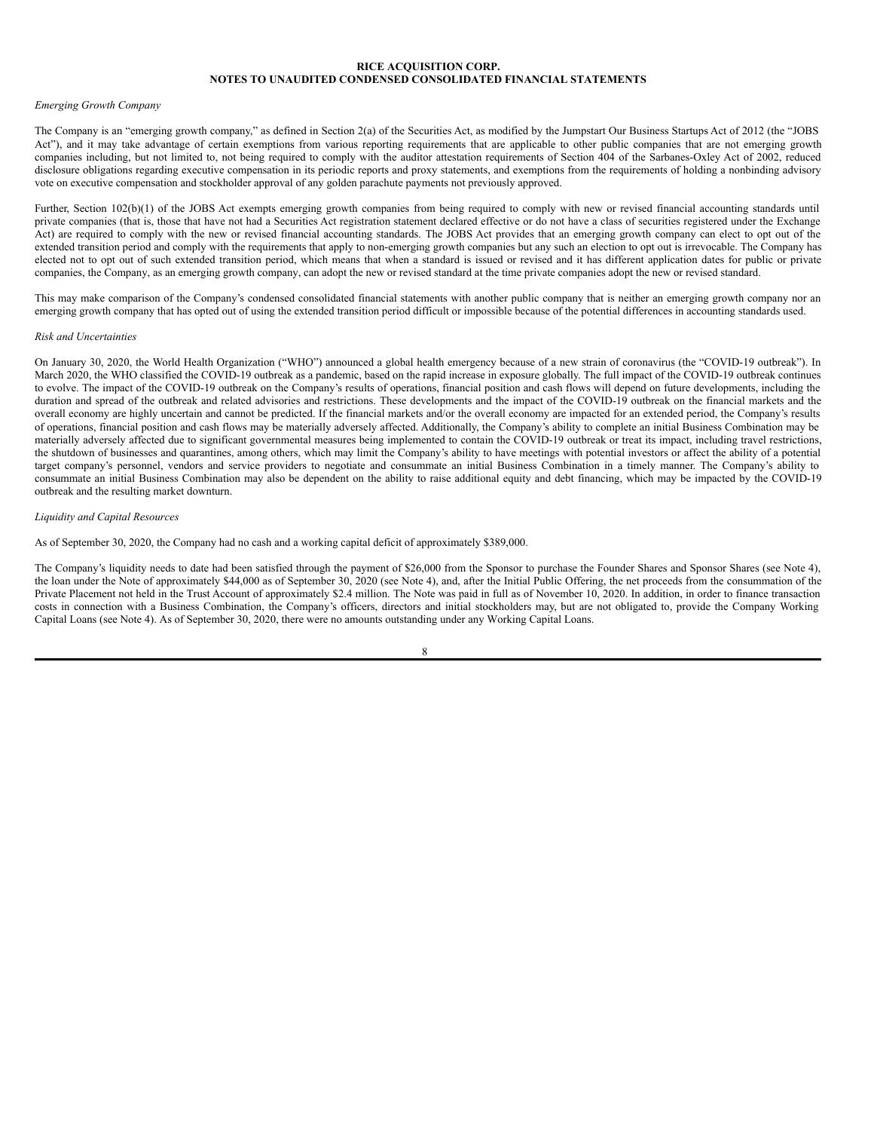#### *Emerging Growth Company*

The Company is an "emerging growth company," as defined in Section 2(a) of the Securities Act, as modified by the Jumpstart Our Business Startups Act of 2012 (the "JOBS Act"), and it may take advantage of certain exemptions from various reporting requirements that are applicable to other public companies that are not emerging growth companies including, but not limited to, not being required to comply with the auditor attestation requirements of Section 404 of the Sarbanes-Oxley Act of 2002, reduced disclosure obligations regarding executive compensation in its periodic reports and proxy statements, and exemptions from the requirements of holding a nonbinding advisory vote on executive compensation and stockholder approval of any golden parachute payments not previously approved.

Further, Section 102(b)(1) of the JOBS Act exempts emerging growth companies from being required to comply with new or revised financial accounting standards until private companies (that is, those that have not had a Securities Act registration statement declared effective or do not have a class of securities registered under the Exchange Act) are required to comply with the new or revised financial accounting standards. The JOBS Act provides that an emerging growth company can elect to opt out of the extended transition period and comply with the requirements that apply to non-emerging growth companies but any such an election to opt out is irrevocable. The Company has elected not to opt out of such extended transition period, which means that when a standard is issued or revised and it has different application dates for public or private companies, the Company, as an emerging growth company, can adopt the new or revised standard at the time private companies adopt the new or revised standard.

This may make comparison of the Company's condensed consolidated financial statements with another public company that is neither an emerging growth company nor an emerging growth company that has opted out of using the extended transition period difficult or impossible because of the potential differences in accounting standards used.

#### *Risk and Uncertainties*

On January 30, 2020, the World Health Organization ("WHO") announced a global health emergency because of a new strain of coronavirus (the "COVID-19 outbreak"). In March 2020, the WHO classified the COVID-19 outbreak as a pandemic, based on the rapid increase in exposure globally. The full impact of the COVID-19 outbreak continues to evolve. The impact of the COVID-19 outbreak on the Company's results of operations, financial position and cash flows will depend on future developments, including the duration and spread of the outbreak and related advisories and restrictions. These developments and the impact of the COVID-19 outbreak on the financial markets and the overall economy are highly uncertain and cannot be predicted. If the financial markets and/or the overall economy are impacted for an extended period, the Company's results of operations, financial position and cash flows may be materially adversely affected. Additionally, the Company's ability to complete an initial Business Combination may be materially adversely affected due to significant governmental measures being implemented to contain the COVID-19 outbreak or treat its impact, including travel restrictions, the shutdown of businesses and quarantines, among others, which may limit the Company's ability to have meetings with potential investors or affect the ability of a potential target company's personnel, vendors and service providers to negotiate and consummate an initial Business Combination in a timely manner. The Company's ability to consummate an initial Business Combination may also be dependent on the ability to raise additional equity and debt financing, which may be impacted by the COVID-19 outbreak and the resulting market downturn.

#### *Liquidity and Capital Resources*

As of September 30, 2020, the Company had no cash and a working capital deficit of approximately \$389,000.

The Company's liquidity needs to date had been satisfied through the payment of \$26,000 from the Sponsor to purchase the Founder Shares and Sponsor Shares (see Note 4), the loan under the Note of approximately \$44,000 as of September 30, 2020 (see Note 4), and, after the Initial Public Offering, the net proceeds from the consummation of the Private Placement not held in the Trust Account of approximately \$2.4 million. The Note was paid in full as of November 10, 2020. In addition, in order to finance transaction costs in connection with a Business Combination, the Company's officers, directors and initial stockholders may, but are not obligated to, provide the Company Working Capital Loans (see Note 4). As of September 30, 2020, there were no amounts outstanding under any Working Capital Loans.

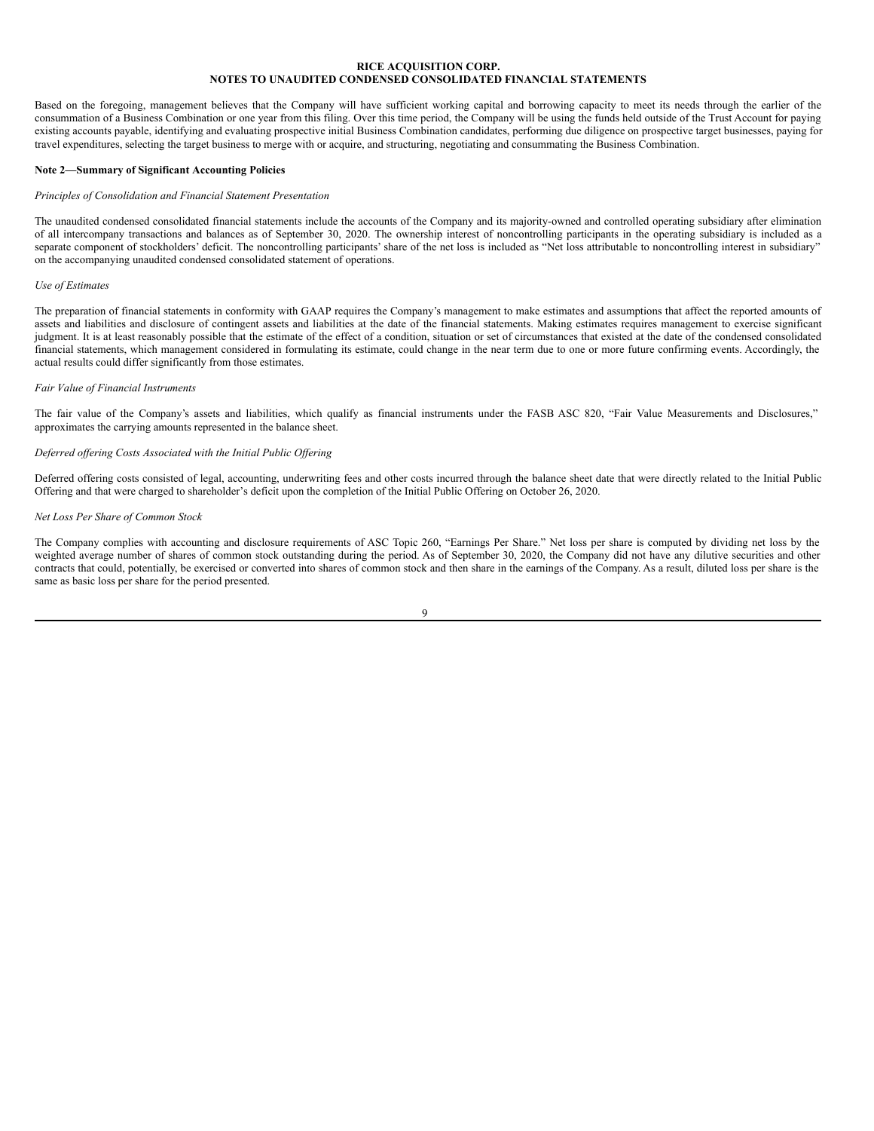Based on the foregoing, management believes that the Company will have sufficient working capital and borrowing capacity to meet its needs through the earlier of the consummation of a Business Combination or one year from this filing. Over this time period, the Company will be using the funds held outside of the Trust Account for paying existing accounts payable, identifying and evaluating prospective initial Business Combination candidates, performing due diligence on prospective target businesses, paying for travel expenditures, selecting the target business to merge with or acquire, and structuring, negotiating and consummating the Business Combination.

## **Note 2—Summary of Significant Accounting Policies**

## *Principles of Consolidation and Financial Statement Presentation*

The unaudited condensed consolidated financial statements include the accounts of the Company and its majority-owned and controlled operating subsidiary after elimination of all intercompany transactions and balances as of September 30, 2020. The ownership interest of noncontrolling participants in the operating subsidiary is included as a separate component of stockholders' deficit. The noncontrolling participants' share of the net loss is included as "Net loss attributable to noncontrolling interest in subsidiary" on the accompanying unaudited condensed consolidated statement of operations.

#### *Use of Estimates*

The preparation of financial statements in conformity with GAAP requires the Company's management to make estimates and assumptions that affect the reported amounts of assets and liabilities and disclosure of contingent assets and liabilities at the date of the financial statements. Making estimates requires management to exercise significant judgment. It is at least reasonably possible that the estimate of the effect of a condition, situation or set of circumstances that existed at the date of the condensed consolidated financial statements, which management considered in formulating its estimate, could change in the near term due to one or more future confirming events. Accordingly, the actual results could differ significantly from those estimates.

#### *Fair Value of Financial Instruments*

The fair value of the Company's assets and liabilities, which qualify as financial instruments under the FASB ASC 820, "Fair Value Measurements and Disclosures," approximates the carrying amounts represented in the balance sheet.

#### *Deferred of ering Costs Associated with the Initial Public Of ering*

Deferred offering costs consisted of legal, accounting, underwriting fees and other costs incurred through the balance sheet date that were directly related to the Initial Public Offering and that were charged to shareholder's deficit upon the completion of the Initial Public Offering on October 26, 2020.

#### *Net Loss Per Share of Common Stock*

The Company complies with accounting and disclosure requirements of ASC Topic 260, "Earnings Per Share." Net loss per share is computed by dividing net loss by the weighted average number of shares of common stock outstanding during the period. As of September 30, 2020, the Company did not have any dilutive securities and other contracts that could, potentially, be exercised or converted into shares of common stock and then share in the earnings of the Company. As a result, diluted loss per share is the same as basic loss per share for the period presented.

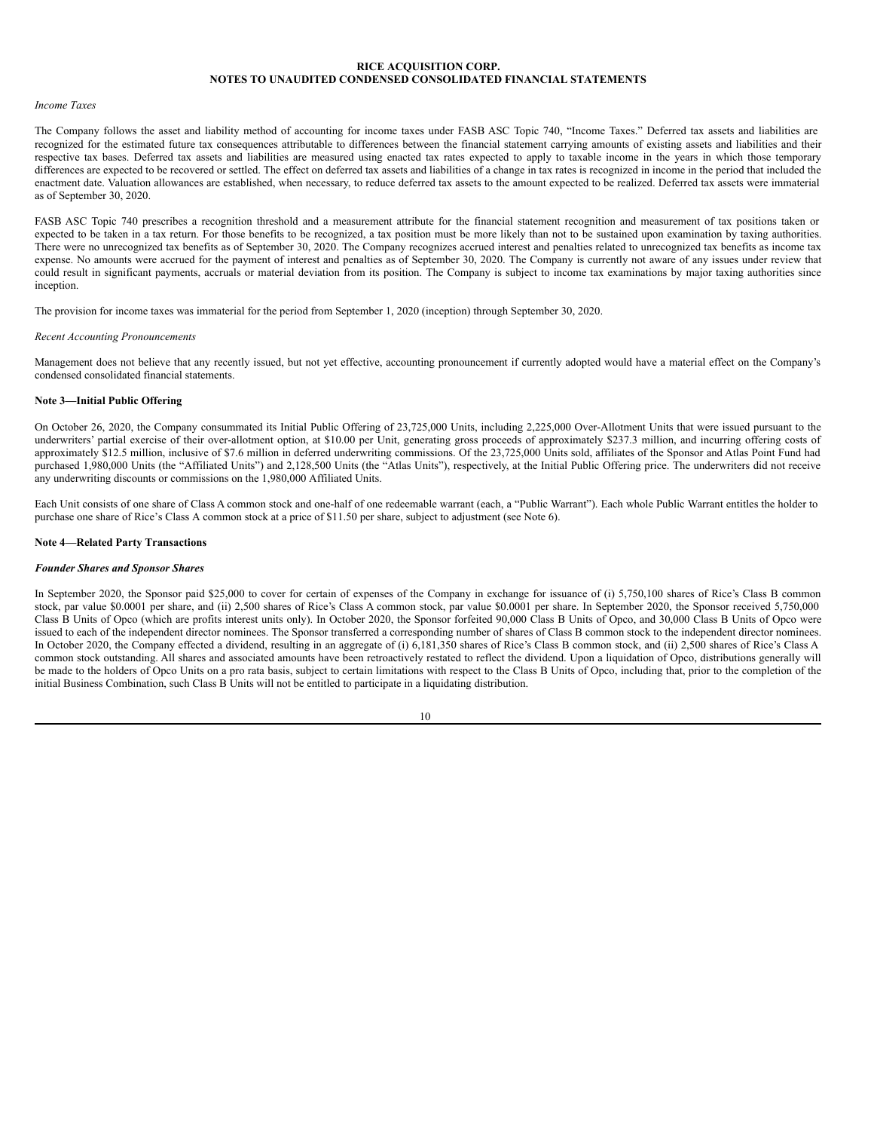#### *Income Taxes*

The Company follows the asset and liability method of accounting for income taxes under FASB ASC Topic 740, "Income Taxes." Deferred tax assets and liabilities are recognized for the estimated future tax consequences attributable to differences between the financial statement carrying amounts of existing assets and liabilities and their respective tax bases. Deferred tax assets and liabilities are measured using enacted tax rates expected to apply to taxable income in the years in which those temporary differences are expected to be recovered or settled. The effect on deferred tax assets and liabilities of a change in tax rates is recognized in income in the period that included the enactment date. Valuation allowances are established, when necessary, to reduce deferred tax assets to the amount expected to be realized. Deferred tax assets were immaterial as of September 30, 2020.

FASB ASC Topic 740 prescribes a recognition threshold and a measurement attribute for the financial statement recognition and measurement of tax positions taken or expected to be taken in a tax return. For those benefits to be recognized, a tax position must be more likely than not to be sustained upon examination by taxing authorities. There were no unrecognized tax benefits as of September 30, 2020. The Company recognizes accrued interest and penalties related to unrecognized tax benefits as income tax expense. No amounts were accrued for the payment of interest and penalties as of September 30, 2020. The Company is currently not aware of any issues under review that could result in significant payments, accruals or material deviation from its position. The Company is subject to income tax examinations by major taxing authorities since inception.

The provision for income taxes was immaterial for the period from September 1, 2020 (inception) through September 30, 2020.

#### *Recent Accounting Pronouncements*

Management does not believe that any recently issued, but not yet effective, accounting pronouncement if currently adopted would have a material effect on the Company's condensed consolidated financial statements.

# **Note 3—Initial Public Offering**

On October 26, 2020, the Company consummated its Initial Public Offering of 23,725,000 Units, including 2,225,000 Over-Allotment Units that were issued pursuant to the underwriters' partial exercise of their over-allotment option, at \$10.00 per Unit, generating gross proceeds of approximately \$237.3 million, and incurring offering costs of approximately \$12.5 million, inclusive of \$7.6 million in deferred underwriting commissions. Of the 23,725,000 Units sold, affiliates of the Sponsor and Atlas Point Fund had purchased 1,980,000 Units (the "Affiliated Units") and 2,128,500 Units (the "Atlas Units"), respectively, at the Initial Public Offering price. The underwriters did not receive any underwriting discounts or commissions on the 1,980,000 Affiliated Units.

Each Unit consists of one share of Class A common stock and one-half of one redeemable warrant (each, a "Public Warrant"). Each whole Public Warrant entitles the holder to purchase one share of Rice's Class A common stock at a price of \$11.50 per share, subject to adjustment (see Note 6).

#### **Note 4—Related Party Transactions**

#### *Founder Shares and Sponsor Shares*

In September 2020, the Sponsor paid \$25,000 to cover for certain of expenses of the Company in exchange for issuance of (i) 5,750,100 shares of Rice's Class B common stock, par value \$0.0001 per share, and (ii) 2,500 shares of Rice's Class A common stock, par value \$0.0001 per share. In September 2020, the Sponsor received 5,750,000 Class B Units of Opco (which are profits interest units only). In October 2020, the Sponsor forfeited 90,000 Class B Units of Opco, and 30,000 Class B Units of Opco were issued to each of the independent director nominees. The Sponsor transferred a corresponding number of shares of Class B common stock to the independent director nominees. In October 2020, the Company effected a dividend, resulting in an aggregate of (i) 6,181,350 shares of Rice's Class B common stock, and (ii) 2,500 shares of Rice's Class A common stock outstanding. All shares and associated amounts have been retroactively restated to reflect the dividend. Upon a liquidation of Opco, distributions generally will be made to the holders of Opco Units on a pro rata basis, subject to certain limitations with respect to the Class B Units of Opco, including that, prior to the completion of the initial Business Combination, such Class B Units will not be entitled to participate in a liquidating distribution.

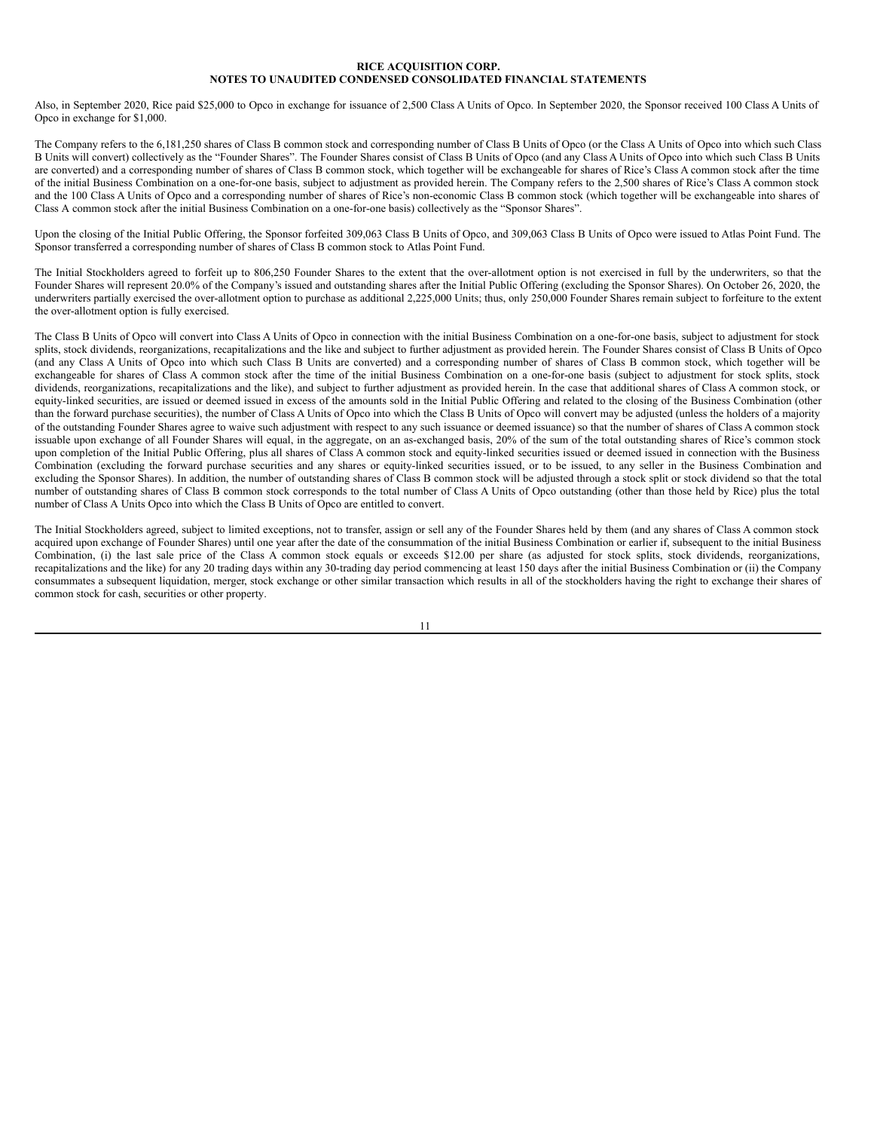Also, in September 2020, Rice paid \$25,000 to Opco in exchange for issuance of 2,500 Class A Units of Opco. In September 2020, the Sponsor received 100 Class A Units of Opco in exchange for \$1,000.

The Company refers to the 6,181,250 shares of Class B common stock and corresponding number of Class B Units of Opco (or the Class A Units of Opco into which such Class B Units will convert) collectively as the "Founder Shares". The Founder Shares consist of Class B Units of Opco (and any Class A Units of Opco into which such Class B Units are converted) and a corresponding number of shares of Class B common stock, which together will be exchangeable for shares of Rice's Class A common stock after the time of the initial Business Combination on a one-for-one basis, subject to adjustment as provided herein. The Company refers to the 2,500 shares of Rice's Class A common stock and the 100 Class A Units of Opco and a corresponding number of shares of Rice's non-economic Class B common stock (which together will be exchangeable into shares of Class A common stock after the initial Business Combination on a one-for-one basis) collectively as the "Sponsor Shares".

Upon the closing of the Initial Public Offering, the Sponsor forfeited 309,063 Class B Units of Opco, and 309,063 Class B Units of Opco were issued to Atlas Point Fund. The Sponsor transferred a corresponding number of shares of Class B common stock to Atlas Point Fund.

The Initial Stockholders agreed to forfeit up to 806,250 Founder Shares to the extent that the over-allotment option is not exercised in full by the underwriters, so that the Founder Shares will represent 20.0% of the Company's issued and outstanding shares after the Initial Public Offering (excluding the Sponsor Shares). On October 26, 2020, the underwriters partially exercised the over-allotment option to purchase as additional 2,225,000 Units; thus, only 250,000 Founder Shares remain subject to forfeiture to the extent the over-allotment option is fully exercised.

The Class B Units of Opco will convert into Class A Units of Opco in connection with the initial Business Combination on a one-for-one basis, subject to adjustment for stock splits, stock dividends, reorganizations, recapitalizations and the like and subject to further adjustment as provided herein. The Founder Shares consist of Class B Units of Opco (and any Class A Units of Opco into which such Class B Units are converted) and a corresponding number of shares of Class B common stock, which together will be exchangeable for shares of Class A common stock after the time of the initial Business Combination on a one-for-one basis (subject to adjustment for stock splits, stock dividends, reorganizations, recapitalizations and the like), and subject to further adjustment as provided herein. In the case that additional shares of Class A common stock, or equity-linked securities, are issued or deemed issued in excess of the amounts sold in the Initial Public Offering and related to the closing of the Business Combination (other than the forward purchase securities), the number of Class A Units of Opco into which the Class B Units of Opco will convert may be adjusted (unless the holders of a majority of the outstanding Founder Shares agree to waive such adjustment with respect to any such issuance or deemed issuance) so that the number of shares of Class A common stock issuable upon exchange of all Founder Shares will equal, in the aggregate, on an as-exchanged basis, 20% of the sum of the total outstanding shares of Rice's common stock upon completion of the Initial Public Offering, plus all shares of Class A common stock and equity-linked securities issued or deemed issued in connection with the Business Combination (excluding the forward purchase securities and any shares or equity-linked securities issued, or to be issued, to any seller in the Business Combination and excluding the Sponsor Shares). In addition, the number of outstanding shares of Class B common stock will be adjusted through a stock split or stock dividend so that the total number of outstanding shares of Class B common stock corresponds to the total number of Class A Units of Opco outstanding (other than those held by Rice) plus the total number of Class A Units Opco into which the Class B Units of Opco are entitled to convert.

The Initial Stockholders agreed, subject to limited exceptions, not to transfer, assign or sell any of the Founder Shares held by them (and any shares of Class A common stock acquired upon exchange of Founder Shares) until one year after the date of the consummation of the initial Business Combination or earlier if, subsequent to the initial Business Combination, (i) the last sale price of the Class A common stock equals or exceeds \$12.00 per share (as adjusted for stock splits, stock dividends, reorganizations, recapitalizations and the like) for any 20 trading days within any 30-trading day period commencing at least 150 days after the initial Business Combination or (ii) the Company consummates a subsequent liquidation, merger, stock exchange or other similar transaction which results in all of the stockholders having the right to exchange their shares of common stock for cash, securities or other property.

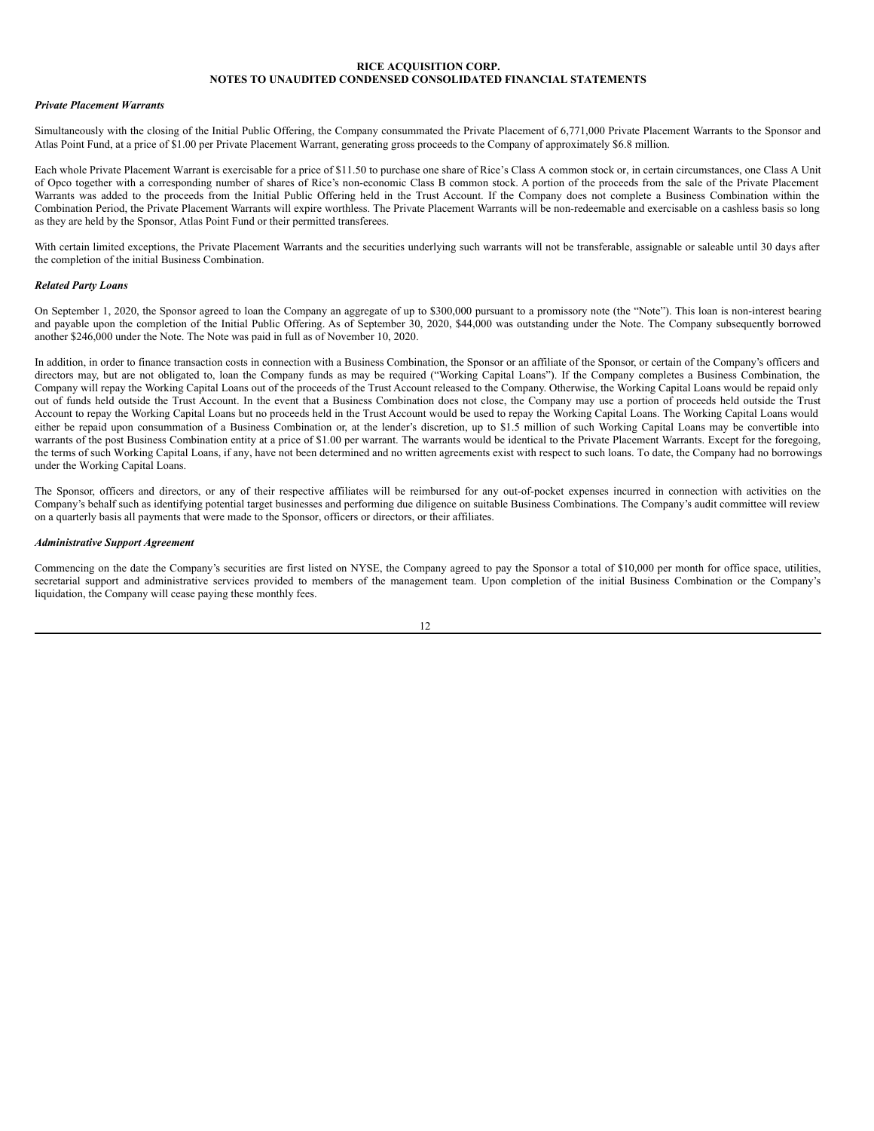#### *Private Placement Warrants*

Simultaneously with the closing of the Initial Public Offering, the Company consummated the Private Placement of 6,771,000 Private Placement Warrants to the Sponsor and Atlas Point Fund, at a price of \$1.00 per Private Placement Warrant, generating gross proceeds to the Company of approximately \$6.8 million.

Each whole Private Placement Warrant is exercisable for a price of \$11.50 to purchase one share of Rice's Class A common stock or, in certain circumstances, one Class A Unit of Opco together with a corresponding number of shares of Rice's non-economic Class B common stock. A portion of the proceeds from the sale of the Private Placement Warrants was added to the proceeds from the Initial Public Offering held in the Trust Account. If the Company does not complete a Business Combination within the Combination Period, the Private Placement Warrants will expire worthless. The Private Placement Warrants will be non-redeemable and exercisable on a cashless basis so long as they are held by the Sponsor, Atlas Point Fund or their permitted transferees.

With certain limited exceptions, the Private Placement Warrants and the securities underlying such warrants will not be transferable, assignable or saleable until 30 days after the completion of the initial Business Combination.

#### *Related Party Loans*

On September 1, 2020, the Sponsor agreed to loan the Company an aggregate of up to \$300,000 pursuant to a promissory note (the "Note"). This loan is non-interest bearing and payable upon the completion of the Initial Public Offering. As of September 30, 2020, \$44,000 was outstanding under the Note. The Company subsequently borrowed another \$246,000 under the Note. The Note was paid in full as of November 10, 2020.

In addition, in order to finance transaction costs in connection with a Business Combination, the Sponsor or an affiliate of the Sponsor, or certain of the Company's officers and directors may, but are not obligated to, loan the Company funds as may be required ("Working Capital Loans"). If the Company completes a Business Combination, the Company will repay the Working Capital Loans out of the proceeds of the Trust Account released to the Company. Otherwise, the Working Capital Loans would be repaid only out of funds held outside the Trust Account. In the event that a Business Combination does not close, the Company may use a portion of proceeds held outside the Trust Account to repay the Working Capital Loans but no proceeds held in the Trust Account would be used to repay the Working Capital Loans. The Working Capital Loans would either be repaid upon consummation of a Business Combination or, at the lender's discretion, up to \$1.5 million of such Working Capital Loans may be convertible into warrants of the post Business Combination entity at a price of \$1.00 per warrant. The warrants would be identical to the Private Placement Warrants. Except for the foregoing, the terms of such Working Capital Loans, if any, have not been determined and no written agreements exist with respect to such loans. To date, the Company had no borrowings under the Working Capital Loans.

The Sponsor, officers and directors, or any of their respective affiliates will be reimbursed for any out-of-pocket expenses incurred in connection with activities on the Company's behalf such as identifying potential target businesses and performing due diligence on suitable Business Combinations. The Company's audit committee will review on a quarterly basis all payments that were made to the Sponsor, officers or directors, or their affiliates.

#### *Administrative Support Agreement*

Commencing on the date the Company's securities are first listed on NYSE, the Company agreed to pay the Sponsor a total of \$10,000 per month for office space, utilities, secretarial support and administrative services provided to members of the management team. Upon completion of the initial Business Combination or the Company's liquidation, the Company will cease paying these monthly fees.

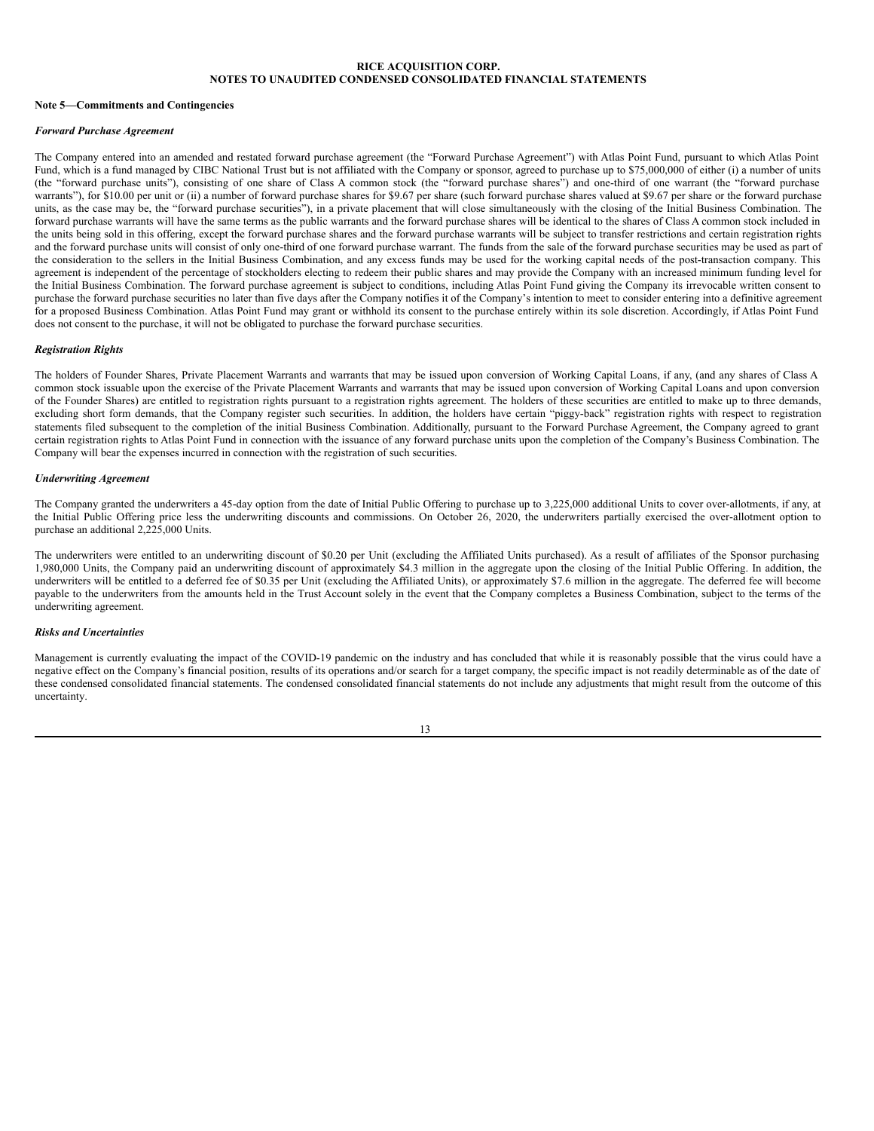#### **Note 5—Commitments and Contingencies**

# *Forward Purchase Agreement*

The Company entered into an amended and restated forward purchase agreement (the "Forward Purchase Agreement") with Atlas Point Fund, pursuant to which Atlas Point Fund, which is a fund managed by CIBC National Trust but is not affiliated with the Company or sponsor, agreed to purchase up to \$75,000,000 of either (i) a number of units (the "forward purchase units"), consisting of one share of Class A common stock (the "forward purchase shares") and one-third of one warrant (the "forward purchase warrants"), for \$10.00 per unit or (ii) a number of forward purchase shares for \$9.67 per share (such forward purchase shares valued at \$9.67 per share or the forward purchase units, as the case may be, the "forward purchase securities"), in a private placement that will close simultaneously with the closing of the Initial Business Combination. The forward purchase warrants will have the same terms as the public warrants and the forward purchase shares will be identical to the shares of Class A common stock included in the units being sold in this offering, except the forward purchase shares and the forward purchase warrants will be subject to transfer restrictions and certain registration rights and the forward purchase units will consist of only one-third of one forward purchase warrant. The funds from the sale of the forward purchase securities may be used as part of the consideration to the sellers in the Initial Business Combination, and any excess funds may be used for the working capital needs of the post-transaction company. This agreement is independent of the percentage of stockholders electing to redeem their public shares and may provide the Company with an increased minimum funding level for the Initial Business Combination. The forward purchase agreement is subject to conditions, including Atlas Point Fund giving the Company its irrevocable written consent to purchase the forward purchase securities no later than five days after the Company notifies it of the Company's intention to meet to consider entering into a definitive agreement for a proposed Business Combination. Atlas Point Fund may grant or withhold its consent to the purchase entirely within its sole discretion. Accordingly, if Atlas Point Fund does not consent to the purchase, it will not be obligated to purchase the forward purchase securities.

#### *Registration Rights*

The holders of Founder Shares, Private Placement Warrants and warrants that may be issued upon conversion of Working Capital Loans, if any, (and any shares of Class A common stock issuable upon the exercise of the Private Placement Warrants and warrants that may be issued upon conversion of Working Capital Loans and upon conversion of the Founder Shares) are entitled to registration rights pursuant to a registration rights agreement. The holders of these securities are entitled to make up to three demands, excluding short form demands, that the Company register such securities. In addition, the holders have certain "piggy-back" registration rights with respect to registration statements filed subsequent to the completion of the initial Business Combination. Additionally, pursuant to the Forward Purchase Agreement, the Company agreed to grant certain registration rights to Atlas Point Fund in connection with the issuance of any forward purchase units upon the completion of the Company's Business Combination. The Company will bear the expenses incurred in connection with the registration of such securities.

# *Underwriting Agreement*

The Company granted the underwriters a 45-day option from the date of Initial Public Offering to purchase up to 3,225,000 additional Units to cover over-allotments, if any, at the Initial Public Offering price less the underwriting discounts and commissions. On October 26, 2020, the underwriters partially exercised the over-allotment option to purchase an additional 2,225,000 Units.

The underwriters were entitled to an underwriting discount of \$0.20 per Unit (excluding the Affiliated Units purchased). As a result of affiliates of the Sponsor purchasing 1,980,000 Units, the Company paid an underwriting discount of approximately \$4.3 million in the aggregate upon the closing of the Initial Public Offering. In addition, the underwriters will be entitled to a deferred fee of \$0.35 per Unit (excluding the Affiliated Units), or approximately \$7.6 million in the aggregate. The deferred fee will become payable to the underwriters from the amounts held in the Trust Account solely in the event that the Company completes a Business Combination, subject to the terms of the underwriting agreement.

#### *Risks and Uncertainties*

Management is currently evaluating the impact of the COVID-19 pandemic on the industry and has concluded that while it is reasonably possible that the virus could have a negative effect on the Company's financial position, results of its operations and/or search for a target company, the specific impact is not readily determinable as of the date of these condensed consolidated financial statements. The condensed consolidated financial statements do not include any adjustments that might result from the outcome of this uncertainty.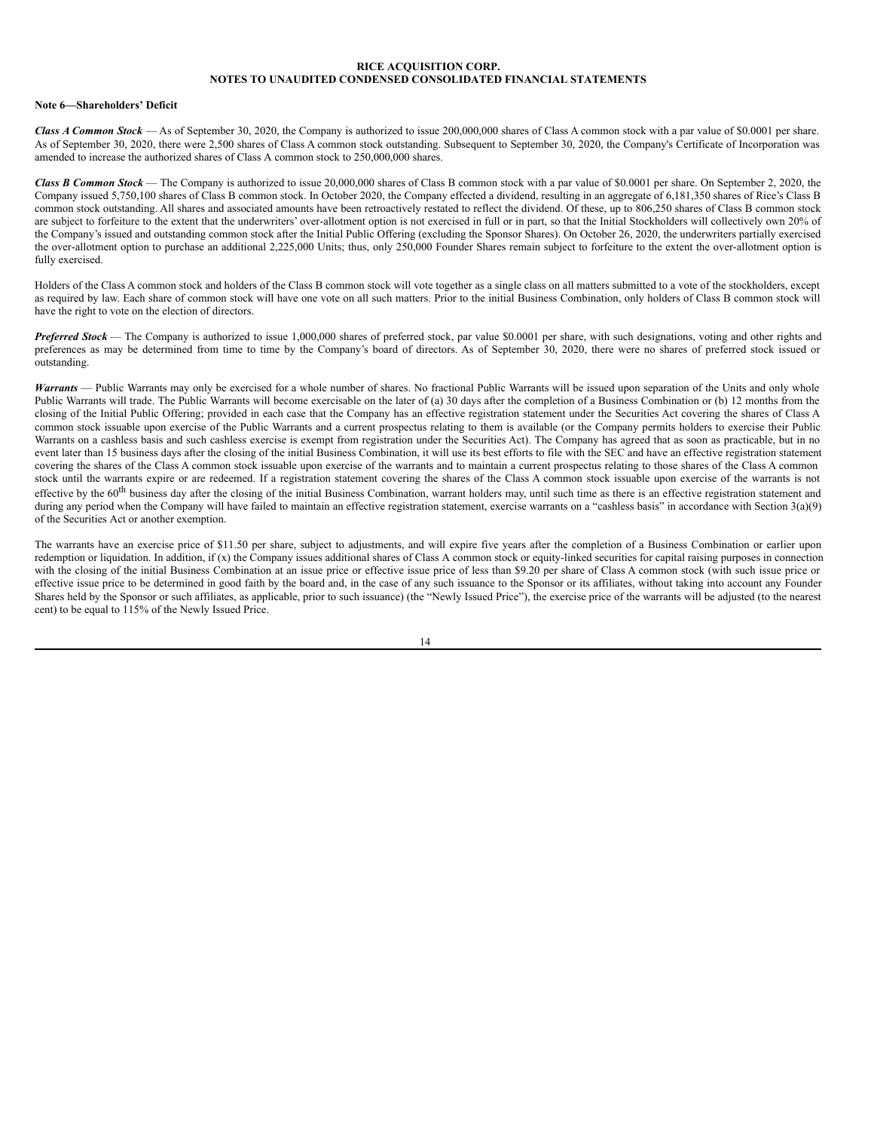### **Note 6—Shareholders' Deficit**

*Class A Common Stock* — As of September 30, 2020, the Company is authorized to issue 200,000,000 shares of Class A common stock with a par value of \$0.0001 per share. As of September 30, 2020, there were 2,500 shares of Class A common stock outstanding. Subsequent to September 30, 2020, the Company's Certificate of Incorporation was amended to increase the authorized shares of Class A common stock to 250,000,000 shares.

*Class B Common Stock* — The Company is authorized to issue 20,000,000 shares of Class B common stock with a par value of \$0.0001 per share. On September 2, 2020, the Company issued 5,750,100 shares of Class B common stock. In October 2020, the Company effected a dividend, resulting in an aggregate of 6,181,350 shares of Rice's Class B common stock outstanding. All shares and associated amounts have been retroactively restated to reflect the dividend. Of these, up to 806,250 shares of Class B common stock are subject to forfeiture to the extent that the underwriters' over-allotment option is not exercised in full or in part, so that the Initial Stockholders will collectively own 20% of the Company's issued and outstanding common stock after the Initial Public Offering (excluding the Sponsor Shares). On October 26, 2020, the underwriters partially exercised the over-allotment option to purchase an additional 2,225,000 Units; thus, only 250,000 Founder Shares remain subject to forfeiture to the extent the over-allotment option is fully exercised.

Holders of the Class A common stock and holders of the Class B common stock will vote together as a single class on all matters submitted to a vote of the stockholders, except as required by law. Each share of common stock will have one vote on all such matters. Prior to the initial Business Combination, only holders of Class B common stock will have the right to vote on the election of directors.

*Preferred Stock* — The Company is authorized to issue 1,000,000 shares of preferred stock, par value \$0.0001 per share, with such designations, voting and other rights and preferences as may be determined from time to time by the Company's board of directors. As of September 30, 2020, there were no shares of preferred stock issued or outstanding.

*Warrants* — Public Warrants may only be exercised for a whole number of shares. No fractional Public Warrants will be issued upon separation of the Units and only whole Public Warrants will trade. The Public Warrants will become exercisable on the later of (a) 30 days after the completion of a Business Combination or (b) 12 months from the closing of the Initial Public Offering; provided in each case that the Company has an effective registration statement under the Securities Act covering the shares of Class A common stock issuable upon exercise of the Public Warrants and a current prospectus relating to them is available (or the Company permits holders to exercise their Public Warrants on a cashless basis and such cashless exercise is exempt from registration under the Securities Act). The Company has agreed that as soon as practicable, but in no event later than 15 business days after the closing of the initial Business Combination, it will use its best efforts to file with the SEC and have an effective registration statement covering the shares of the Class A common stock issuable upon exercise of the warrants and to maintain a current prospectus relating to those shares of the Class A common stock until the warrants expire or are redeemed. If a registration statement covering the shares of the Class A common stock issuable upon exercise of the warrants is not effective by the  $60^{\text{th}}$  business day after the closing of the initial Business Combination, warrant holders may, until such time as there is an effective registration statement and during any period when the Company will have failed to maintain an effective registration statement, exercise warrants on a "cashless basis" in accordance with Section 3(a)(9) of the Securities Act or another exemption.

The warrants have an exercise price of \$11.50 per share, subject to adjustments, and will expire five years after the completion of a Business Combination or earlier upon redemption or liquidation. In addition, if (x) the Company issues additional shares of Class A common stock or equity-linked securities for capital raising purposes in connection with the closing of the initial Business Combination at an issue price or effective issue price of less than \$9.20 per share of Class A common stock (with such issue price or effective issue price to be determined in good faith by the board and, in the case of any such issuance to the Sponsor or its affiliates, without taking into account any Founder Shares held by the Sponsor or such affiliates, as applicable, prior to such issuance) (the "Newly Issued Price"), the exercise price of the warrants will be adjusted (to the nearest cent) to be equal to 115% of the Newly Issued Price.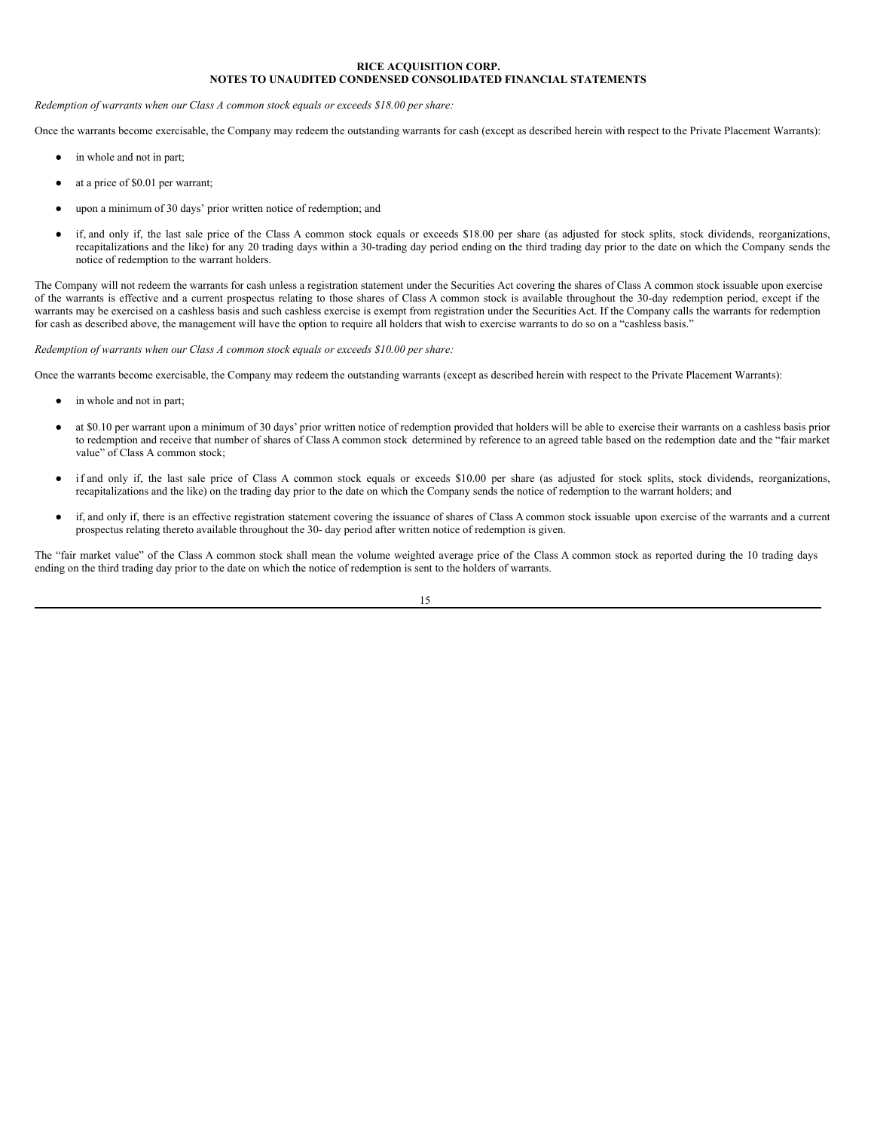*Redemption of warrants when our Class A common stock equals or exceeds \$18.00 per share:*

Once the warrants become exercisable, the Company may redeem the outstanding warrants for cash (except as described herein with respect to the Private Placement Warrants):

- in whole and not in part;
- at a price of \$0.01 per warrant;
- upon a minimum of 30 days' prior written notice of redemption; and
- if, and only if, the last sale price of the Class A common stock equals or exceeds \$18.00 per share (as adjusted for stock splits, stock dividends, reorganizations, recapitalizations and the like) for any 20 trading days within a 30-trading day period ending on the third trading day prior to the date on which the Company sends the notice of redemption to the warrant holders.

The Company will not redeem the warrants for cash unless a registration statement under the Securities Act covering the shares of Class A common stock issuable upon exercise of the warrants is effective and a current prospectus relating to those shares of Class A common stock is available throughout the 30-day redemption period, except if the warrants may be exercised on a cashless basis and such cashless exercise is exempt from registration under the Securities Act. If the Company calls the warrants for redemption for cash as described above, the management will have the option to require all holders that wish to exercise warrants to do so on a "cashless basis."

#### *Redemption of warrants when our Class A common stock equals or exceeds \$10.00 per share:*

Once the warrants become exercisable, the Company may redeem the outstanding warrants (except as described herein with respect to the Private Placement Warrants):

- in whole and not in part;
- at \$0.10 per warrant upon a minimum of 30 days' prior written notice of redemption provided that holders will be able to exercise their warrants on a cashless basis prior to redemption and receive that number of shares of Class A common stock determined by reference to an agreed table based on the redemption date and the "fair market value" of Class A common stock;
- if and only if, the last sale price of Class A common stock equals or exceeds \$10.00 per share (as adjusted for stock splits, stock dividends, reorganizations, recapitalizations and the like) on the trading day prior to the date on which the Company sends the notice of redemption to the warrant holders; and
- if, and only if, there is an effective registration statement covering the issuance of shares of Class A common stock issuable upon exercise of the warrants and a current prospectus relating thereto available throughout the 30- day period after written notice of redemption is given.

The "fair market value" of the Class A common stock shall mean the volume weighted average price of the Class A common stock as reported during the 10 trading days ending on the third trading day prior to the date on which the notice of redemption is sent to the holders of warrants.

| I<br>I<br>×<br>۰. |
|-------------------|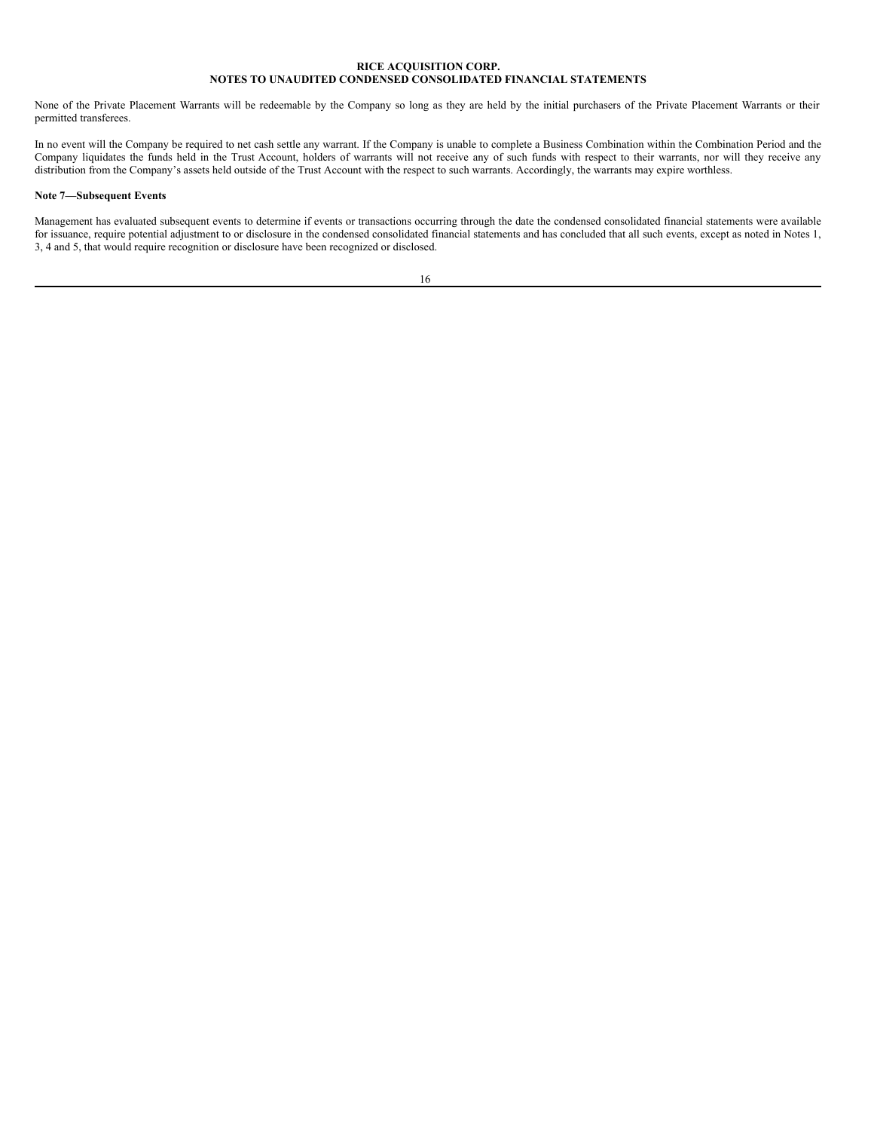None of the Private Placement Warrants will be redeemable by the Company so long as they are held by the initial purchasers of the Private Placement Warrants or their permitted transferees.

In no event will the Company be required to net cash settle any warrant. If the Company is unable to complete a Business Combination within the Combination Period and the Company liquidates the funds held in the Trust Account, holders of warrants will not receive any of such funds with respect to their warrants, nor will they receive any distribution from the Company's assets held outside of the Trust Account with the respect to such warrants. Accordingly, the warrants may expire worthless.

## **Note 7—Subsequent Events**

Management has evaluated subsequent events to determine if events or transactions occurring through the date the condensed consolidated financial statements were available for issuance, require potential adjustment to or disclosure in the condensed consolidated financial statements and has concluded that all such events, except as noted in Notes 1, 3, 4 and 5, that would require recognition or disclosure have been recognized or disclosed.

| I<br>٦<br>۰, |  |
|--------------|--|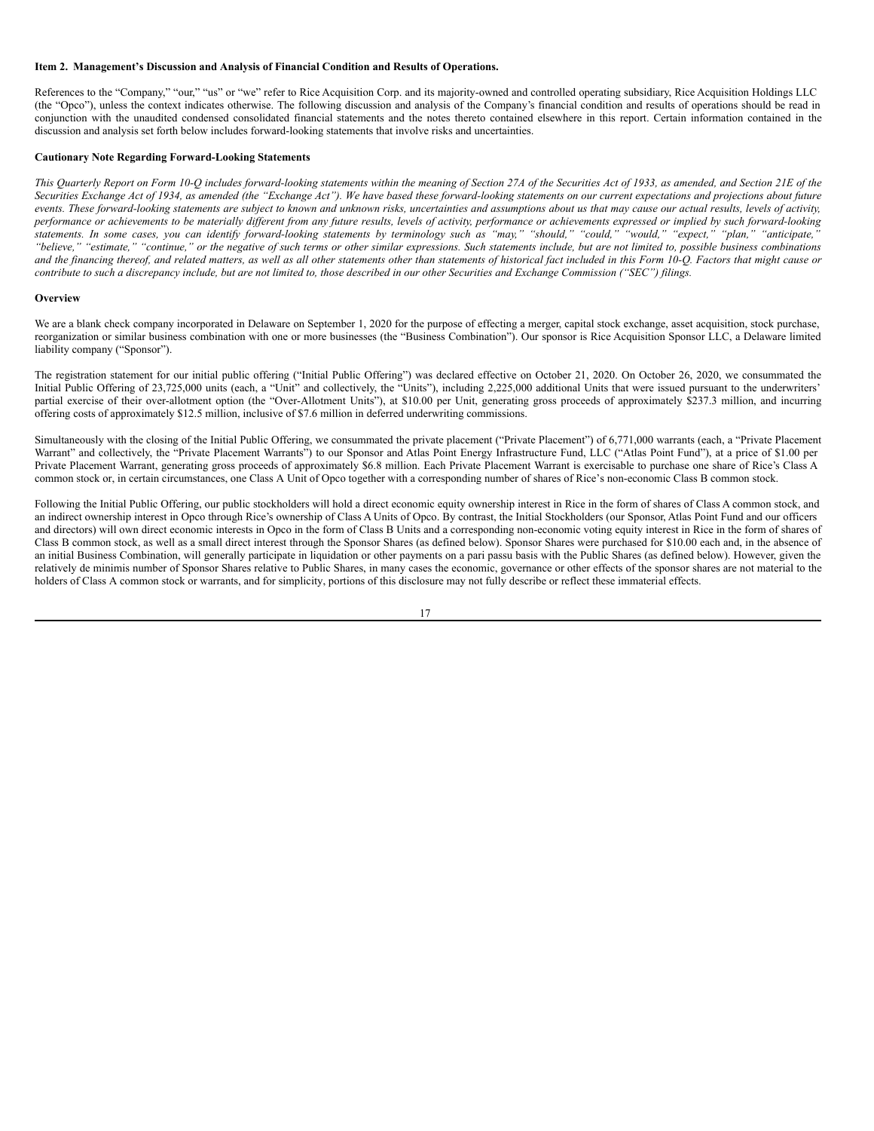#### <span id="page-18-0"></span>**Item 2. Management's Discussion and Analysis of Financial Condition and Results of Operations.**

References to the "Company," "our," "us" or "we" refer to Rice Acquisition Corp. and its majority-owned and controlled operating subsidiary, Rice Acquisition Holdings LLC (the "Opco"), unless the context indicates otherwise. The following discussion and analysis of the Company's financial condition and results of operations should be read in conjunction with the unaudited condensed consolidated financial statements and the notes thereto contained elsewhere in this report. Certain information contained in the discussion and analysis set forth below includes forward-looking statements that involve risks and uncertainties.

#### **Cautionary Note Regarding Forward-Looking Statements**

This Quarterly Report on Form 10-Q includes forward-looking statements within the meaning of Section 27A of the Securities Act of 1933, as amended, and Section 21E of the Securities Exchange Act of 1934, as amended (the "Exchange Act"). We have based these forward-looking statements on our current expectations and projections about future events. These forward-looking statements are subject to known and unknown risks, uncertainties and assumptions about us that may cause our actual results, levels of activity. performance or achievements to be materially different from any future results, levels of activity, performance or achievements expressed or implied by such forward-looking statements. In some cases, you can identify forward-looking statements by terminology such as "may," "should," "could," "would," "expect," "plan," "anticipate," "believe," "estimate," "continue," or the negative of such terms or other similar expressions. Such statements include, but are not limited to, possible business combinations and the financing thereof, and related matters, as well as all other statements other than statements of historical fact included in this Form 10-Q. Factors that might cause or contribute to such a discrepancy include, but are not limited to, those described in our other Securities and Exchange Commission ("SEC") filings.

## **Overview**

We are a blank check company incorporated in Delaware on September 1, 2020 for the purpose of effecting a merger, capital stock exchange, asset acquisition, stock purchase, reorganization or similar business combination with one or more businesses (the "Business Combination"). Our sponsor is Rice Acquisition Sponsor LLC, a Delaware limited liability company ("Sponsor").

The registration statement for our initial public offering ("Initial Public Offering") was declared effective on October 21, 2020. On October 26, 2020, we consummated the Initial Public Offering of 23,725,000 units (each, a "Unit" and collectively, the "Units"), including 2,225,000 additional Units that were issued pursuant to the underwriters' partial exercise of their over-allotment option (the "Over-Allotment Units"), at \$10.00 per Unit, generating gross proceeds of approximately \$237.3 million, and incurring offering costs of approximately \$12.5 million, inclusive of \$7.6 million in deferred underwriting commissions.

Simultaneously with the closing of the Initial Public Offering, we consummated the private placement ("Private Placement") of 6,771,000 warrants (each, a "Private Placement Warrant" and collectively, the "Private Placement Warrants") to our Sponsor and Atlas Point Energy Infrastructure Fund, LLC ("Atlas Point Fund"), at a price of \$1.00 per Private Placement Warrant, generating gross proceeds of approximately \$6.8 million. Each Private Placement Warrant is exercisable to purchase one share of Rice's Class A common stock or, in certain circumstances, one Class A Unit of Opco together with a corresponding number of shares of Rice's non-economic Class B common stock.

Following the Initial Public Offering, our public stockholders will hold a direct economic equity ownership interest in Rice in the form of shares of Class A common stock, and an indirect ownership interest in Opco through Rice's ownership of Class A Units of Opco. By contrast, the Initial Stockholders (our Sponsor, Atlas Point Fund and our officers and directors) will own direct economic interests in Opco in the form of Class B Units and a corresponding non-economic voting equity interest in Rice in the form of shares of Class B common stock, as well as a small direct interest through the Sponsor Shares (as defined below). Sponsor Shares were purchased for \$10.00 each and, in the absence of an initial Business Combination, will generally participate in liquidation or other payments on a pari passu basis with the Public Shares (as defined below). However, given the relatively de minimis number of Sponsor Shares relative to Public Shares, in many cases the economic, governance or other effects of the sponsor shares are not material to the holders of Class A common stock or warrants, and for simplicity, portions of this disclosure may not fully describe or reflect these immaterial effects.

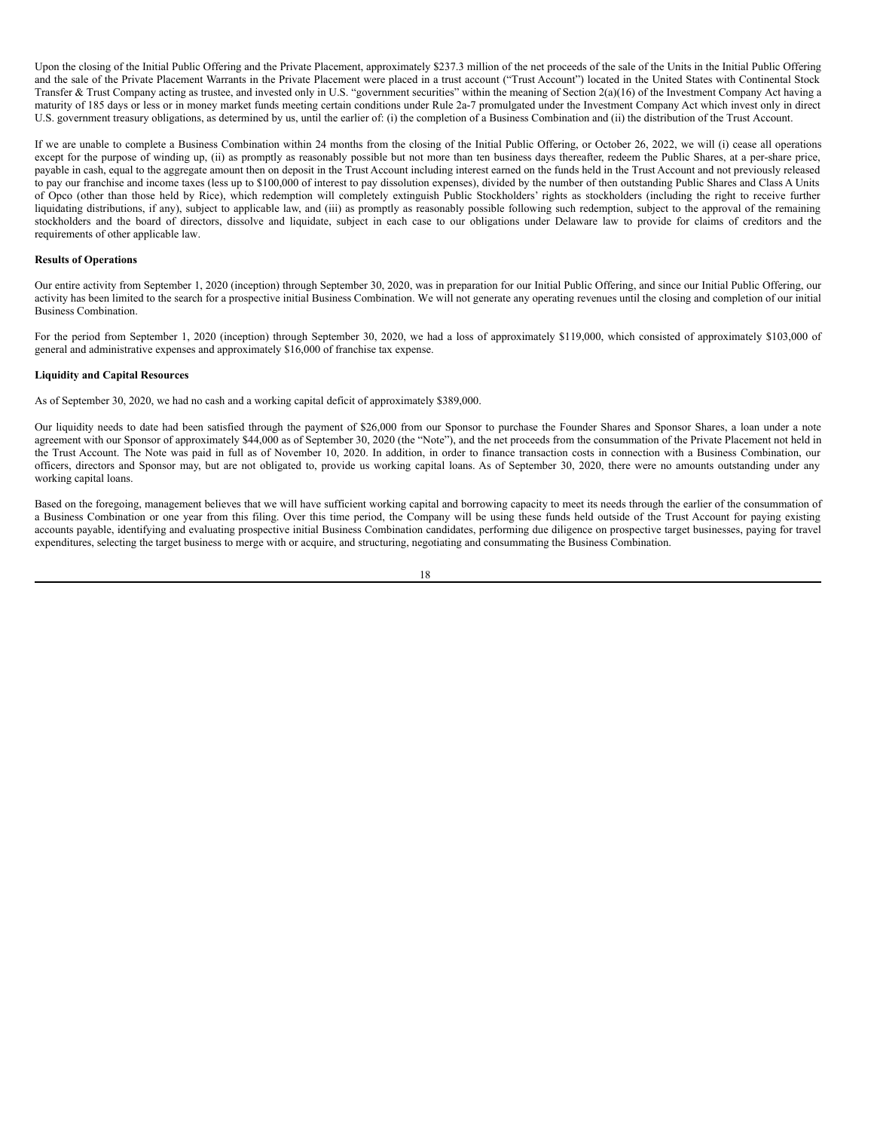Upon the closing of the Initial Public Offering and the Private Placement, approximately \$237.3 million of the net proceeds of the sale of the Units in the Initial Public Offering and the sale of the Private Placement Warrants in the Private Placement were placed in a trust account ("Trust Account") located in the United States with Continental Stock Transfer & Trust Company acting as trustee, and invested only in U.S. "government securities" within the meaning of Section 2(a)(16) of the Investment Company Act having a maturity of 185 days or less or in money market funds meeting certain conditions under Rule 2a-7 promulgated under the Investment Company Act which invest only in direct U.S. government treasury obligations, as determined by us, until the earlier of: (i) the completion of a Business Combination and (ii) the distribution of the Trust Account.

If we are unable to complete a Business Combination within 24 months from the closing of the Initial Public Offering, or October 26, 2022, we will (i) cease all operations except for the purpose of winding up, (ii) as promptly as reasonably possible but not more than ten business days thereafter, redeem the Public Shares, at a per-share price, payable in cash, equal to the aggregate amount then on deposit in the Trust Account including interest earned on the funds held in the Trust Account and not previously released to pay our franchise and income taxes (less up to \$100,000 of interest to pay dissolution expenses), divided by the number of then outstanding Public Shares and Class A Units of Opco (other than those held by Rice), which redemption will completely extinguish Public Stockholders' rights as stockholders (including the right to receive further liquidating distributions, if any), subject to applicable law, and (iii) as promptly as reasonably possible following such redemption, subject to the approval of the remaining stockholders and the board of directors, dissolve and liquidate, subject in each case to our obligations under Delaware law to provide for claims of creditors and the requirements of other applicable law.

# **Results of Operations**

Our entire activity from September 1, 2020 (inception) through September 30, 2020, was in preparation for our Initial Public Offering, and since our Initial Public Offering, our activity has been limited to the search for a prospective initial Business Combination. We will not generate any operating revenues until the closing and completion of our initial Business Combination.

For the period from September 1, 2020 (inception) through September 30, 2020, we had a loss of approximately \$119,000, which consisted of approximately \$103,000 of general and administrative expenses and approximately \$16,000 of franchise tax expense.

# **Liquidity and Capital Resources**

As of September 30, 2020, we had no cash and a working capital deficit of approximately \$389,000.

Our liquidity needs to date had been satisfied through the payment of \$26,000 from our Sponsor to purchase the Founder Shares and Sponsor Shares, a loan under a note agreement with our Sponsor of approximately \$44,000 as of September 30, 2020 (the "Note"), and the net proceeds from the consummation of the Private Placement not held in the Trust Account. The Note was paid in full as of November 10, 2020. In addition, in order to finance transaction costs in connection with a Business Combination, our officers, directors and Sponsor may, but are not obligated to, provide us working capital loans. As of September 30, 2020, there were no amounts outstanding under any working capital loans.

Based on the foregoing, management believes that we will have sufficient working capital and borrowing capacity to meet its needs through the earlier of the consummation of a Business Combination or one year from this filing. Over this time period, the Company will be using these funds held outside of the Trust Account for paying existing accounts payable, identifying and evaluating prospective initial Business Combination candidates, performing due diligence on prospective target businesses, paying for travel expenditures, selecting the target business to merge with or acquire, and structuring, negotiating and consummating the Business Combination.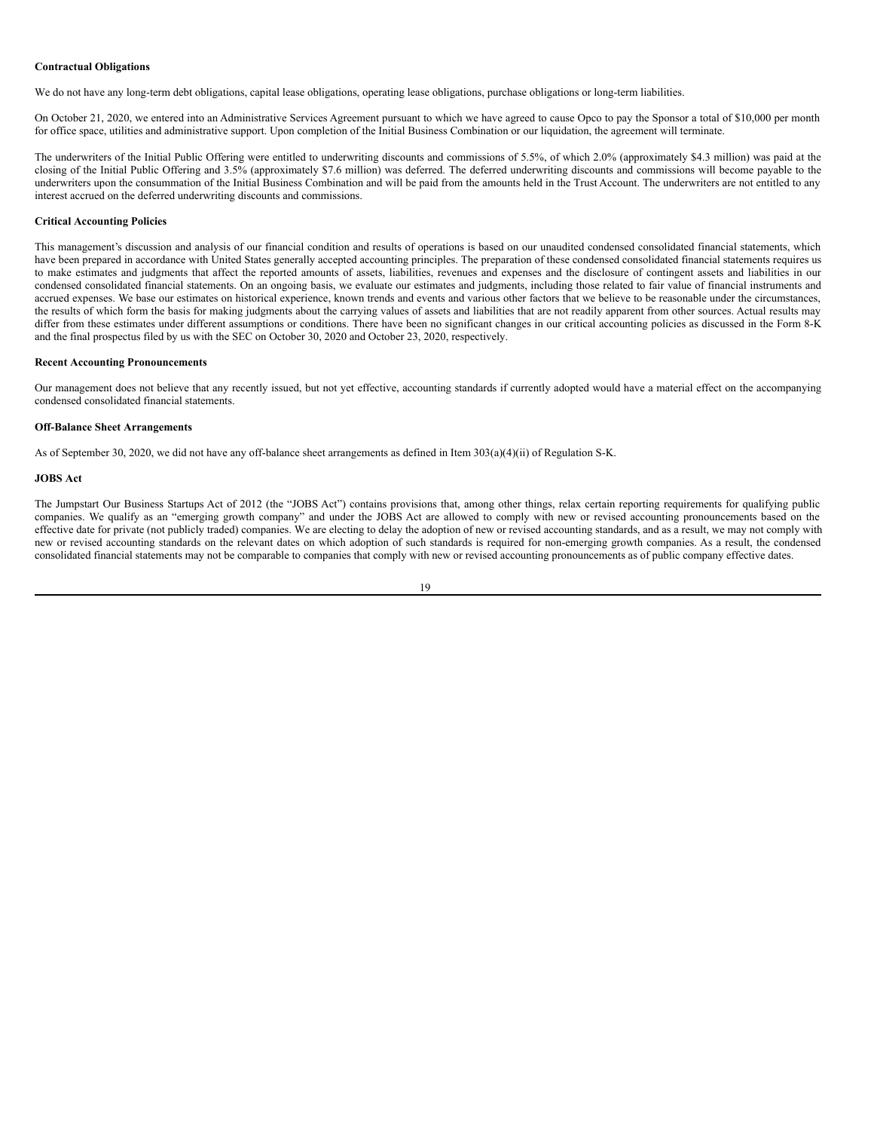#### **Contractual Obligations**

We do not have any long-term debt obligations, capital lease obligations, operating lease obligations, purchase obligations or long-term liabilities.

On October 21, 2020, we entered into an Administrative Services Agreement pursuant to which we have agreed to cause Opco to pay the Sponsor a total of \$10,000 per month for office space, utilities and administrative support. Upon completion of the Initial Business Combination or our liquidation, the agreement will terminate.

The underwriters of the Initial Public Offering were entitled to underwriting discounts and commissions of 5.5%, of which 2.0% (approximately \$4.3 million) was paid at the closing of the Initial Public Offering and 3.5% (approximately \$7.6 million) was deferred. The deferred underwriting discounts and commissions will become payable to the underwriters upon the consummation of the Initial Business Combination and will be paid from the amounts held in the Trust Account. The underwriters are not entitled to any interest accrued on the deferred underwriting discounts and commissions.

## **Critical Accounting Policies**

This management's discussion and analysis of our financial condition and results of operations is based on our unaudited condensed consolidated financial statements, which have been prepared in accordance with United States generally accepted accounting principles. The preparation of these condensed consolidated financial statements requires us to make estimates and judgments that affect the reported amounts of assets, liabilities, revenues and expenses and the disclosure of contingent assets and liabilities in our condensed consolidated financial statements. On an ongoing basis, we evaluate our estimates and judgments, including those related to fair value of financial instruments and accrued expenses. We base our estimates on historical experience, known trends and events and various other factors that we believe to be reasonable under the circumstances, the results of which form the basis for making judgments about the carrying values of assets and liabilities that are not readily apparent from other sources. Actual results may differ from these estimates under different assumptions or conditions. There have been no significant changes in our critical accounting policies as discussed in the Form 8-K and the final prospectus filed by us with the SEC on October 30, 2020 and October 23, 2020, respectively.

#### **Recent Accounting Pronouncements**

Our management does not believe that any recently issued, but not yet effective, accounting standards if currently adopted would have a material effect on the accompanying condensed consolidated financial statements.

#### **Off-Balance Sheet Arrangements**

As of September 30, 2020, we did not have any off-balance sheet arrangements as defined in Item 303(a)(4)(ii) of Regulation S-K.

## **JOBS Act**

The Jumpstart Our Business Startups Act of 2012 (the "JOBS Act") contains provisions that, among other things, relax certain reporting requirements for qualifying public companies. We qualify as an "emerging growth company" and under the JOBS Act are allowed to comply with new or revised accounting pronouncements based on the effective date for private (not publicly traded) companies. We are electing to delay the adoption of new or revised accounting standards, and as a result, we may not comply with new or revised accounting standards on the relevant dates on which adoption of such standards is required for non-emerging growth companies. As a result, the condensed consolidated financial statements may not be comparable to companies that comply with new or revised accounting pronouncements as of public company effective dates.

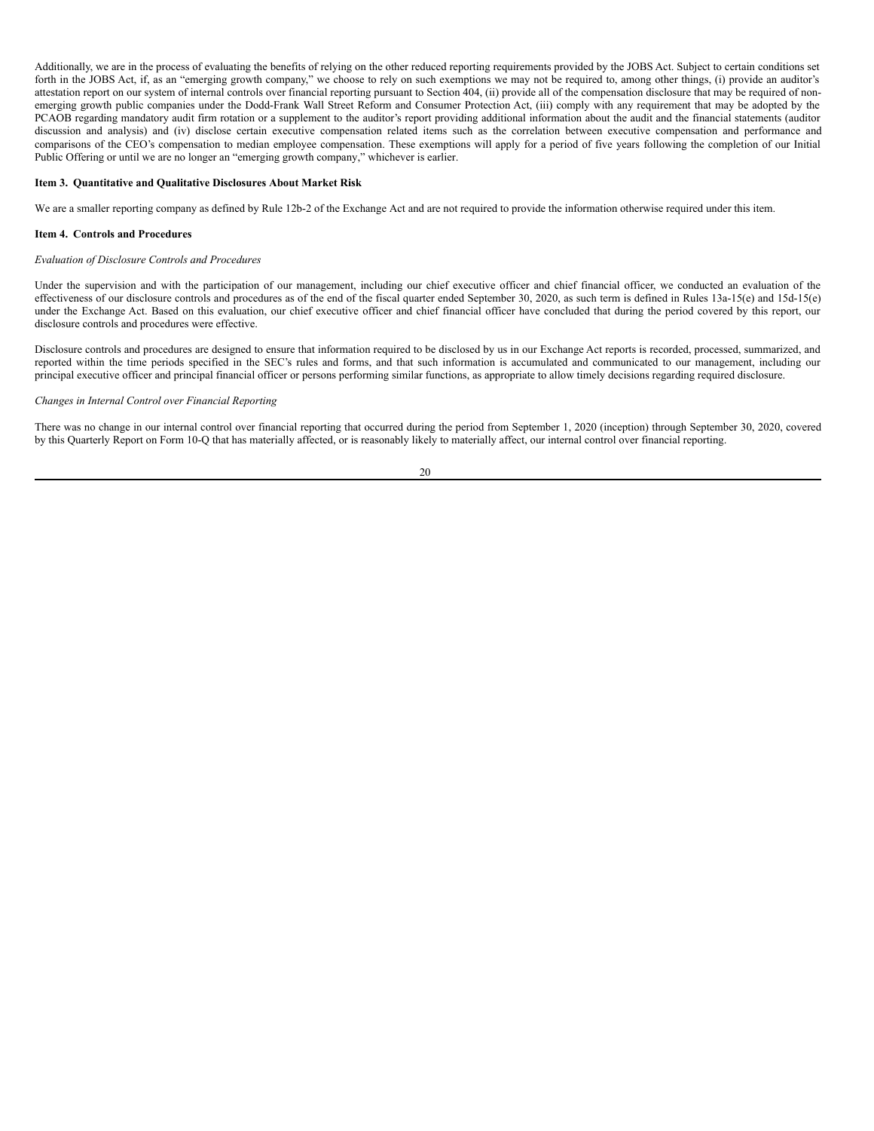Additionally, we are in the process of evaluating the benefits of relying on the other reduced reporting requirements provided by the JOBS Act. Subject to certain conditions set forth in the JOBS Act, if, as an "emerging growth company," we choose to rely on such exemptions we may not be required to, among other things, (i) provide an auditor's attestation report on our system of internal controls over financial reporting pursuant to Section 404, (ii) provide all of the compensation disclosure that may be required of nonemerging growth public companies under the Dodd-Frank Wall Street Reform and Consumer Protection Act, (iii) comply with any requirement that may be adopted by the PCAOB regarding mandatory audit firm rotation or a supplement to the auditor's report providing additional information about the audit and the financial statements (auditor discussion and analysis) and (iv) disclose certain executive compensation related items such as the correlation between executive compensation and performance and comparisons of the CEO's compensation to median employee compensation. These exemptions will apply for a period of five years following the completion of our Initial Public Offering or until we are no longer an "emerging growth company," whichever is earlier.

#### <span id="page-21-0"></span>**Item 3. Quantitative and Qualitative Disclosures About Market Risk**

We are a smaller reporting company as defined by Rule 12b-2 of the Exchange Act and are not required to provide the information otherwise required under this item.

## <span id="page-21-1"></span>**Item 4. Controls and Procedures**

## *Evaluation of Disclosure Controls and Procedures*

Under the supervision and with the participation of our management, including our chief executive officer and chief financial officer, we conducted an evaluation of the effectiveness of our disclosure controls and procedures as of the end of the fiscal quarter ended September 30, 2020, as such term is defined in Rules 13a-15(e) and 15d-15(e) under the Exchange Act. Based on this evaluation, our chief executive officer and chief financial officer have concluded that during the period covered by this report, our disclosure controls and procedures were effective.

Disclosure controls and procedures are designed to ensure that information required to be disclosed by us in our Exchange Act reports is recorded, processed, summarized, and reported within the time periods specified in the SEC's rules and forms, and that such information is accumulated and communicated to our management, including our principal executive officer and principal financial officer or persons performing similar functions, as appropriate to allow timely decisions regarding required disclosure.

## *Changes in Internal Control over Financial Reporting*

There was no change in our internal control over financial reporting that occurred during the period from September 1, 2020 (inception) through September 30, 2020, covered by this Quarterly Report on Form 10-Q that has materially affected, or is reasonably likely to materially affect, our internal control over financial reporting.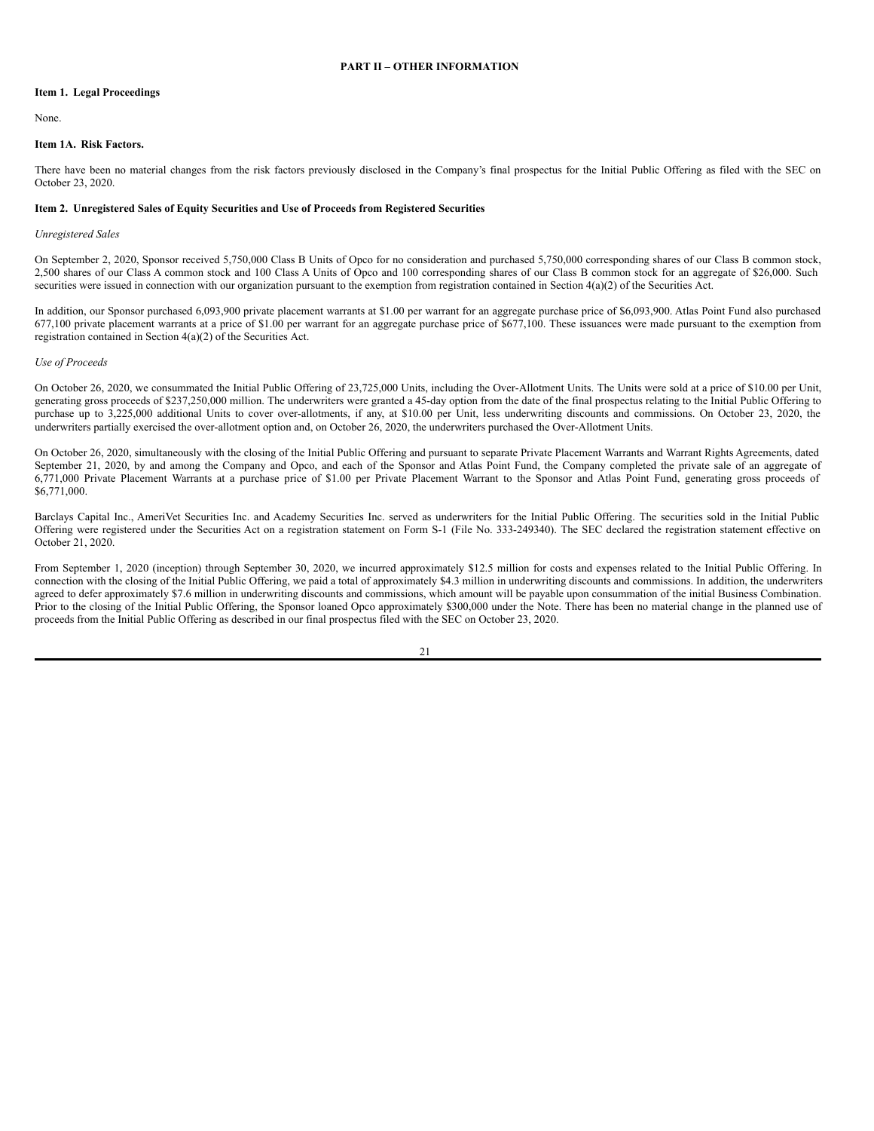# <span id="page-22-1"></span><span id="page-22-0"></span>**Item 1. Legal Proceedings**

None.

# <span id="page-22-2"></span>**Item 1A. Risk Factors.**

There have been no material changes from the risk factors previously disclosed in the Company's final prospectus for the Initial Public Offering as filed with the SEC on October 23, 2020.

# <span id="page-22-3"></span>**Item 2. Unregistered Sales of Equity Securities and Use of Proceeds from Registered Securities**

## *Unregistered Sales*

On September 2, 2020, Sponsor received 5,750,000 Class B Units of Opco for no consideration and purchased 5,750,000 corresponding shares of our Class B common stock, 2,500 shares of our Class A common stock and 100 Class A Units of Opco and 100 corresponding shares of our Class B common stock for an aggregate of \$26,000. Such securities were issued in connection with our organization pursuant to the exemption from registration contained in Section  $4(a)(2)$  of the Securities Act.

In addition, our Sponsor purchased 6,093,900 private placement warrants at \$1.00 per warrant for an aggregate purchase price of \$6,093,900. Atlas Point Fund also purchased 677,100 private placement warrants at a price of \$1.00 per warrant for an aggregate purchase price of \$677,100. These issuances were made pursuant to the exemption from registration contained in Section 4(a)(2) of the Securities Act.

## *Use of Proceeds*

On October 26, 2020, we consummated the Initial Public Offering of 23,725,000 Units, including the Over-Allotment Units. The Units were sold at a price of \$10.00 per Unit, generating gross proceeds of \$237,250,000 million. The underwriters were granted a 45-day option from the date of the final prospectus relating to the Initial Public Offering to purchase up to 3,225,000 additional Units to cover over-allotments, if any, at \$10.00 per Unit, less underwriting discounts and commissions. On October 23, 2020, the underwriters partially exercised the over-allotment option and, on October 26, 2020, the underwriters purchased the Over-Allotment Units.

On October 26, 2020, simultaneously with the closing of the Initial Public Offering and pursuant to separate Private Placement Warrants and Warrant Rights Agreements, dated September 21, 2020, by and among the Company and Opco, and each of the Sponsor and Atlas Point Fund, the Company completed the private sale of an aggregate of 6,771,000 Private Placement Warrants at a purchase price of \$1.00 per Private Placement Warrant to the Sponsor and Atlas Point Fund, generating gross proceeds of \$6,771,000.

Barclays Capital Inc., AmeriVet Securities Inc. and Academy Securities Inc. served as underwriters for the Initial Public Offering. The securities sold in the Initial Public Offering were registered under the Securities Act on a registration statement on Form S-1 (File No. 333-249340). The SEC declared the registration statement effective on October 21, 2020.

From September 1, 2020 (inception) through September 30, 2020, we incurred approximately \$12.5 million for costs and expenses related to the Initial Public Offering. In connection with the closing of the Initial Public Offering, we paid a total of approximately \$4.3 million in underwriting discounts and commissions. In addition, the underwriters agreed to defer approximately \$7.6 million in underwriting discounts and commissions, which amount will be payable upon consummation of the initial Business Combination. Prior to the closing of the Initial Public Offering, the Sponsor loaned Opco approximately \$300,000 under the Note. There has been no material change in the planned use of proceeds from the Initial Public Offering as described in our final prospectus filed with the SEC on October 23, 2020.

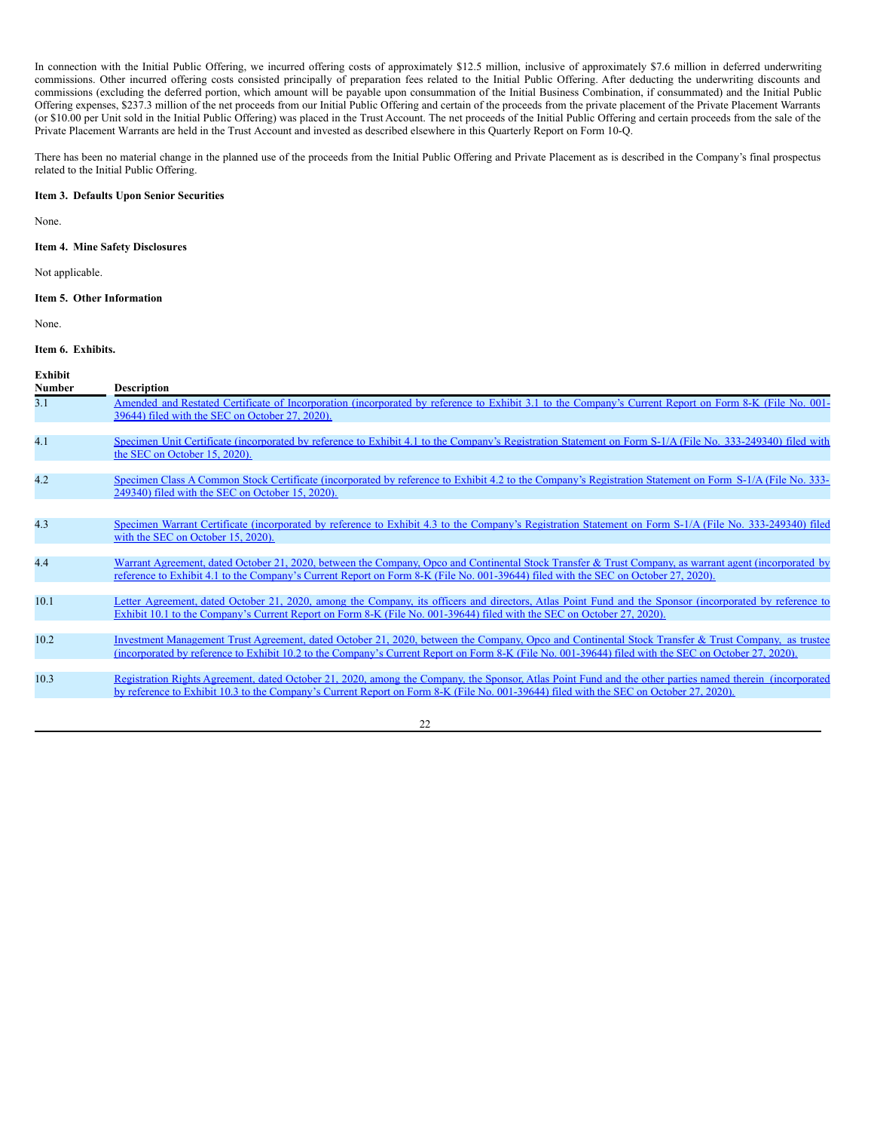In connection with the Initial Public Offering, we incurred offering costs of approximately \$12.5 million, inclusive of approximately \$7.6 million in deferred underwriting commissions. Other incurred offering costs consisted principally of preparation fees related to the Initial Public Offering. After deducting the underwriting discounts and commissions (excluding the deferred portion, which amount will be payable upon consummation of the Initial Business Combination, if consummated) and the Initial Public Offering expenses, \$237.3 million of the net proceeds from our Initial Public Offering and certain of the proceeds from the private placement of the Private Placement Warrants (or \$10.00 per Unit sold in the Initial Public Offering) was placed in the Trust Account. The net proceeds of the Initial Public Offering and certain proceeds from the sale of the Private Placement Warrants are held in the Trust Account and invested as described elsewhere in this Quarterly Report on Form 10-Q.

There has been no material change in the planned use of the proceeds from the Initial Public Offering and Private Placement as is described in the Company's final prospectus related to the Initial Public Offering.

## <span id="page-23-0"></span>**Item 3. Defaults Upon Senior Securities**

None.

# <span id="page-23-1"></span>**Item 4. Mine Safety Disclosures**

Not applicable.

# <span id="page-23-2"></span>**Item 5. Other Information**

None.

## <span id="page-23-3"></span>**Item 6. Exhibits.**

| Exhibit<br><b>Number</b> | <b>Description</b>                                                                                                                                                                                                                                                                                          |
|--------------------------|-------------------------------------------------------------------------------------------------------------------------------------------------------------------------------------------------------------------------------------------------------------------------------------------------------------|
| 3.1                      | Amended and Restated Certificate of Incorporation (incorporated by reference to Exhibit 3.1 to the Company's Current Report on Form 8-K (File No. 001-<br>39644) filed with the SEC on October 27, 2020).                                                                                                   |
| 4.1                      | Specimen Unit Certificate (incorporated by reference to Exhibit 4.1 to the Company's Registration Statement on Form S-1/A (File No. 333-249340) filed with<br>the SEC on October 15, 2020).                                                                                                                 |
| 4.2                      | Specimen Class A Common Stock Certificate (incorporated by reference to Exhibit 4.2 to the Company's Registration Statement on Form S-1/A (File No. 333-<br>249340) filed with the SEC on October 15, 2020).                                                                                                |
| 4.3                      | Specimen Warrant Certificate (incorporated by reference to Exhibit 4.3 to the Company's Registration Statement on Form S-1/A (File No. 333-249340) filed<br>with the SEC on October 15, 2020).                                                                                                              |
| 4.4                      | Warrant Agreement, dated October 21, 2020, between the Company, Opco and Continental Stock Transfer & Trust Company, as warrant agent (incorporated by<br>reference to Exhibit 4.1 to the Company's Current Report on Form 8-K (File No. 001-39644) filed with the SEC on October 27, 2020).                |
| 10.1                     | Letter Agreement, dated October 21, 2020, among the Company, its officers and directors, Atlas Point Fund and the Sponsor (incorporated by reference to<br>Exhibit 10.1 to the Company's Current Report on Form 8-K (File No. 001-39644) filed with the SEC on October 27, 2020).                           |
| 10.2                     | Investment Management Trust Agreement, dated October 21, 2020, between the Company, Opco and Continental Stock Transfer & Trust Company, as trustee<br>(incorporated by reference to Exhibit 10.2 to the Company's Current Report on Form 8-K (File No. 001-39644) filed with the SEC on October 27, 2020). |
| 10.3                     | Registration Rights Agreement, dated October 21, 2020, among the Company, the Sponsor, Atlas Point Fund and the other parties named therein (incorporated<br>by reference to Exhibit 10.3 to the Company's Current Report on Form 8-K (File No. 001-39644) filed with the SEC on October 27, 2020).         |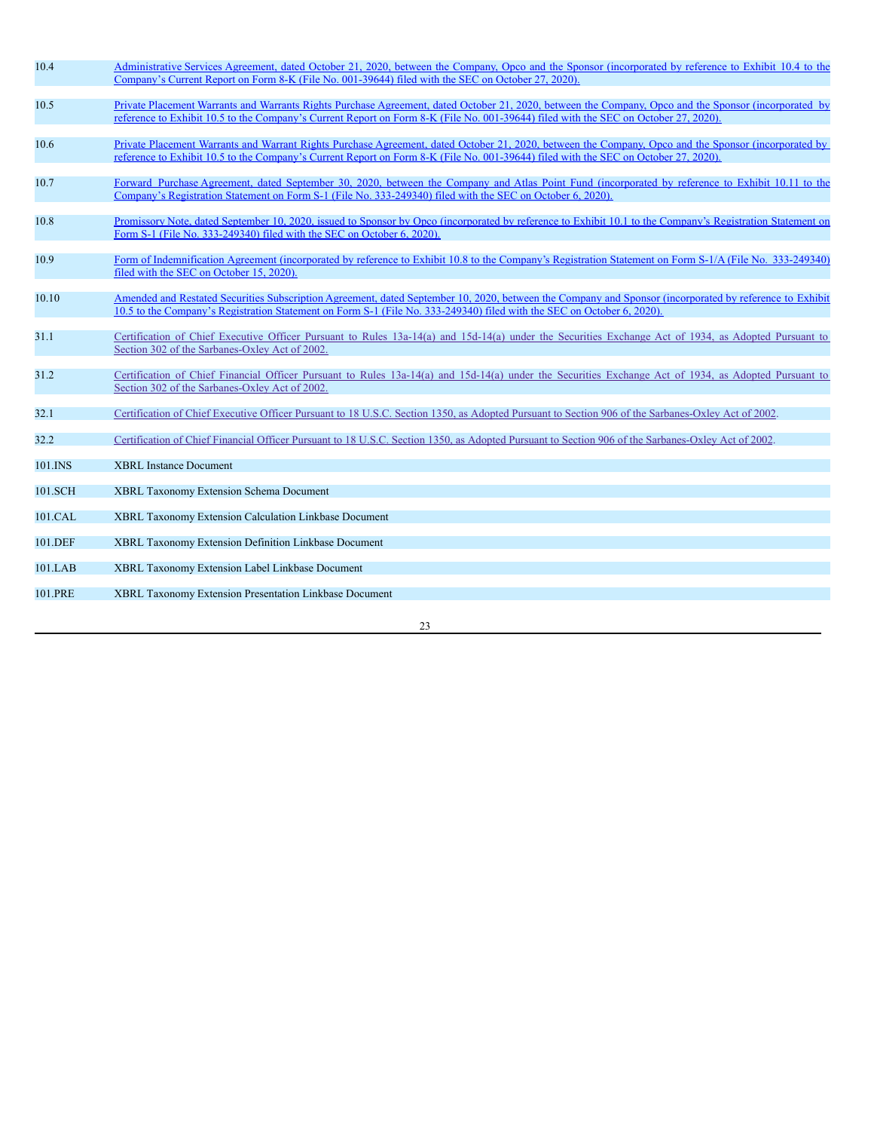| 10.4    | Administrative Services Agreement, dated October 21, 2020, between the Company, Opco and the Sponsor (incorporated by reference to Exhibit 10.4 to the<br>Company's Current Report on Form 8-K (File No. 001-39644) filed with the SEC on October 27, 2020).                                 |
|---------|----------------------------------------------------------------------------------------------------------------------------------------------------------------------------------------------------------------------------------------------------------------------------------------------|
| 10.5    | Private Placement Warrants and Warrants Rights Purchase Agreement, dated October 21, 2020, between the Company, Opco and the Sponsor (incorporated by<br>reference to Exhibit 10.5 to the Company's Current Report on Form 8-K (File No. 001-39644) filed with the SEC on October 27, 2020). |
| 10.6    | Private Placement Warrants and Warrant Rights Purchase Agreement, dated October 21, 2020, between the Company, Opco and the Sponsor (incorporated by<br>reference to Exhibit 10.5 to the Company's Current Report on Form 8-K (File No. 001-39644) filed with the SEC on October 27, 2020).  |
| 10.7    | Forward Purchase Agreement, dated September 30, 2020, between the Company and Atlas Point Fund (incorporated by reference to Exhibit 10.11 to the<br>Company's Registration Statement on Form S-1 (File No. 333-249340) filed with the SEC on October 6, 2020).                              |
| 10.8    | Promissory Note, dated September 10, 2020, issued to Sponsor by Opco (incorporated by reference to Exhibit 10.1 to the Company's Registration Statement on<br>Form S-1 (File No. 333-249340) filed with the SEC on October 6, 2020).                                                         |
| 10.9    | Form of Indemnification Agreement (incorporated by reference to Exhibit 10.8 to the Company's Registration Statement on Form S-1/A (File No. 333-249340)<br>filed with the SEC on October 15, 2020).                                                                                         |
| 10.10   | Amended and Restated Securities Subscription Agreement, dated September 10, 2020, between the Company and Sponsor (incorporated by reference to Exhibit<br>10.5 to the Company's Registration Statement on Form S-1 (File No. 333-249340) filed with the SEC on October 6, 2020).            |
| 31.1    | Certification of Chief Executive Officer Pursuant to Rules 13a-14(a) and 15d-14(a) under the Securities Exchange Act of 1934, as Adopted Pursuant to<br>Section 302 of the Sarbanes-Oxley Act of 2002.                                                                                       |
| 31.2    | Certification of Chief Financial Officer Pursuant to Rules 13a-14(a) and 15d-14(a) under the Securities Exchange Act of 1934, as Adopted Pursuant to<br>Section 302 of the Sarbanes-Oxley Act of 2002.                                                                                       |
| 32.1    | Certification of Chief Executive Officer Pursuant to 18 U.S.C. Section 1350, as Adopted Pursuant to Section 906 of the Sarbanes-Oxley Act of 2002.                                                                                                                                           |
| 32.2    | Certification of Chief Financial Officer Pursuant to 18 U.S.C. Section 1350, as Adopted Pursuant to Section 906 of the Sarbanes-Oxley Act of 2002.                                                                                                                                           |
| 101.INS | <b>XBRL Instance Document</b>                                                                                                                                                                                                                                                                |
| 101.SCH | XBRL Taxonomy Extension Schema Document                                                                                                                                                                                                                                                      |
| 101.CAL | XBRL Taxonomy Extension Calculation Linkbase Document                                                                                                                                                                                                                                        |
| 101.DEF | XBRL Taxonomy Extension Definition Linkbase Document                                                                                                                                                                                                                                         |
| 101.LAB | XBRL Taxonomy Extension Label Linkbase Document                                                                                                                                                                                                                                              |
| 101.PRE | XBRL Taxonomy Extension Presentation Linkbase Document                                                                                                                                                                                                                                       |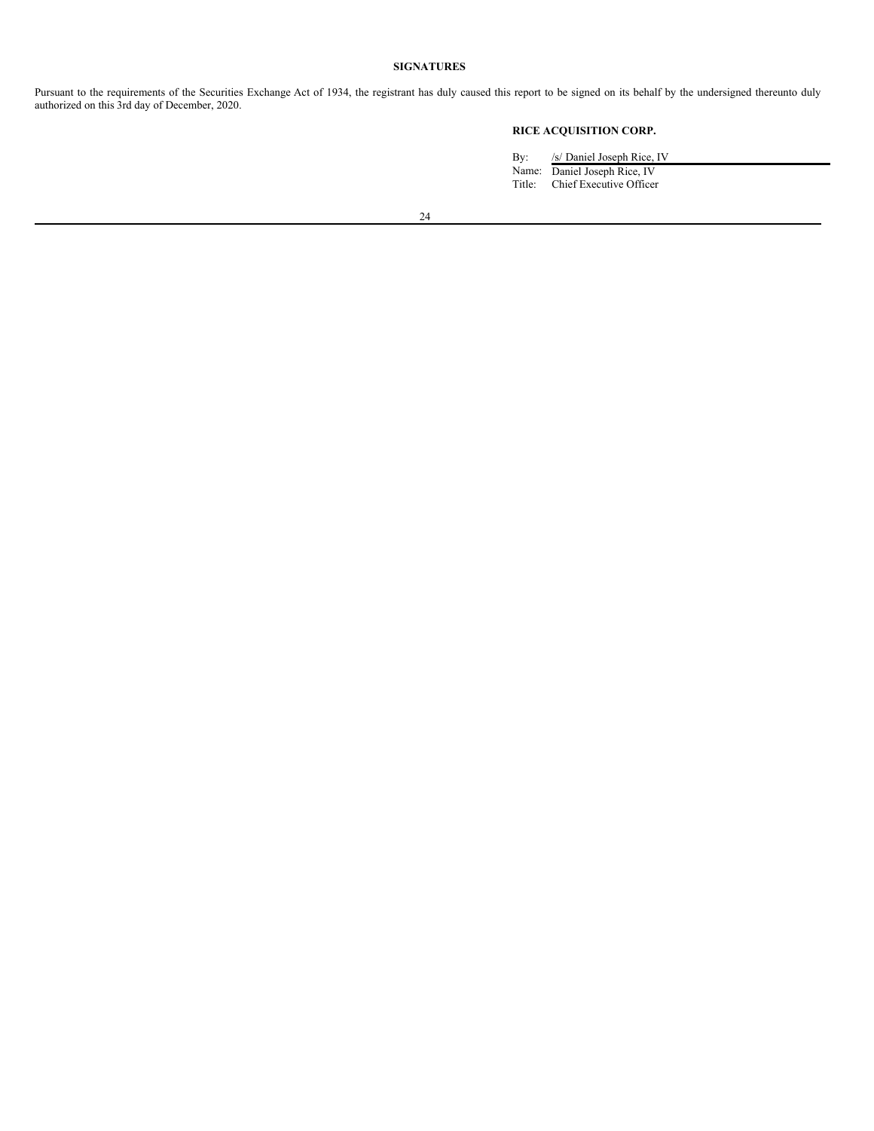# <span id="page-25-0"></span>**SIGNATURES**

Pursuant to the requirements of the Securities Exchange Act of 1934, the registrant has duly caused this report to be signed on its behalf by the undersigned thereunto duly authorized on this 3rd day of December, 2020.

# **RICE ACQUISITION CORP.**

By: /s/ Daniel Joseph Rice, IV Name: Daniel Joseph Rice, IV Title: Chief Executive Officer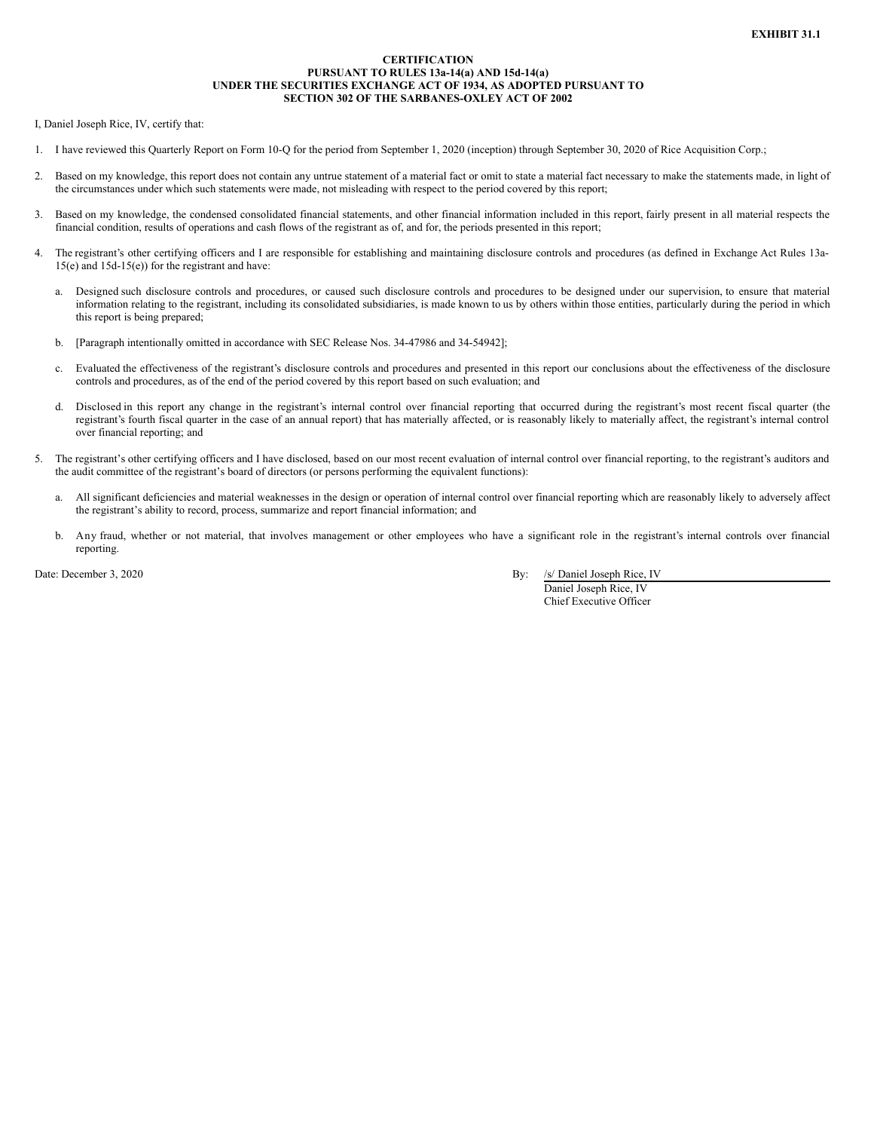## **CERTIFICATION PURSUANT TO RULES 13a-14(a) AND 15d-14(a) UNDER THE SECURITIES EXCHANGE ACT OF 1934, AS ADOPTED PURSUANT TO SECTION 302 OF THE SARBANES-OXLEY ACT OF 2002**

<span id="page-26-0"></span>I, Daniel Joseph Rice, IV, certify that:

- 1. I have reviewed this Quarterly Report on Form 10-Q for the period from September 1, 2020 (inception) through September 30, 2020 of Rice Acquisition Corp.;
- 2. Based on my knowledge, this report does not contain any untrue statement of a material fact or omit to state a material fact necessary to make the statements made, in light of the circumstances under which such statements were made, not misleading with respect to the period covered by this report;
- 3. Based on my knowledge, the condensed consolidated financial statements, and other financial information included in this report, fairly present in all material respects the financial condition, results of operations and cash flows of the registrant as of, and for, the periods presented in this report;
- 4. The registrant's other certifying officers and I are responsible for establishing and maintaining disclosure controls and procedures (as defined in Exchange Act Rules 13a-15(e) and 15d-15(e)) for the registrant and have:
	- a. Designed such disclosure controls and procedures, or caused such disclosure controls and procedures to be designed under our supervision, to ensure that material information relating to the registrant, including its consolidated subsidiaries, is made known to us by others within those entities, particularly during the period in which this report is being prepared;
	- b. [Paragraph intentionally omitted in accordance with SEC Release Nos. 34-47986 and 34-54942];
	- c. Evaluated the effectiveness of the registrant's disclosure controls and procedures and presented in this report our conclusions about the effectiveness of the disclosure controls and procedures, as of the end of the period covered by this report based on such evaluation; and
	- d. Disclosed in this report any change in the registrant's internal control over financial reporting that occurred during the registrant's most recent fiscal quarter (the registrant's fourth fiscal quarter in the case of an annual report) that has materially affected, or is reasonably likely to materially affect, the registrant's internal control over financial reporting; and
- 5. The registrant's other certifying officers and I have disclosed, based on our most recent evaluation of internal control over financial reporting, to the registrant's auditors and the audit committee of the registrant's board of directors (or persons performing the equivalent functions):
	- a. All significant deficiencies and material weaknesses in the design or operation of internal control over financial reporting which are reasonably likely to adversely affect the registrant's ability to record, process, summarize and report financial information; and
	- b. Any fraud, whether or not material, that involves management or other employees who have a significant role in the registrant's internal controls over financial reporting.

Date: December 3, 2020 By: /s/ Daniel Joseph Rice, IV Daniel Joseph Rice, IV Chief Executive Officer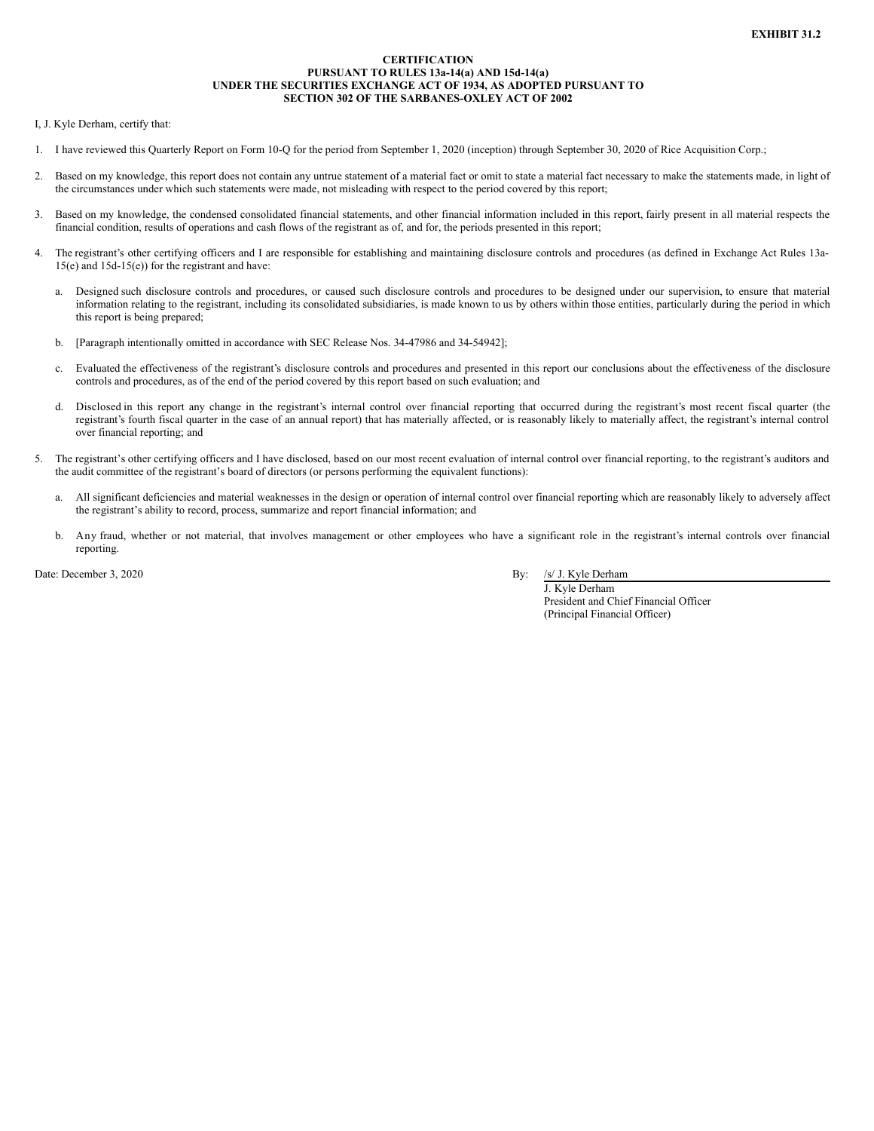## **CERTIFICATION PURSUANT TO RULES 13a-14(a) AND 15d-14(a) UNDER THE SECURITIES EXCHANGE ACT OF 1934, AS ADOPTED PURSUANT TO SECTION 302 OF THE SARBANES-OXLEY ACT OF 2002**

<span id="page-27-0"></span>I, J. Kyle Derham, certify that:

- 1. I have reviewed this Quarterly Report on Form 10-Q for the period from September 1, 2020 (inception) through September 30, 2020 of Rice Acquisition Corp.;
- 2. Based on my knowledge, this report does not contain any untrue statement of a material fact or omit to state a material fact necessary to make the statements made, in light of the circumstances under which such statements were made, not misleading with respect to the period covered by this report;
- 3. Based on my knowledge, the condensed consolidated financial statements, and other financial information included in this report, fairly present in all material respects the financial condition, results of operations and cash flows of the registrant as of, and for, the periods presented in this report;
- 4. The registrant's other certifying officers and I are responsible for establishing and maintaining disclosure controls and procedures (as defined in Exchange Act Rules 13a-15(e) and 15d-15(e)) for the registrant and have:
	- a. Designed such disclosure controls and procedures, or caused such disclosure controls and procedures to be designed under our supervision, to ensure that material information relating to the registrant, including its consolidated subsidiaries, is made known to us by others within those entities, particularly during the period in which this report is being prepared;
	- b. [Paragraph intentionally omitted in accordance with SEC Release Nos. 34-47986 and 34-54942];
	- c. Evaluated the effectiveness of the registrant's disclosure controls and procedures and presented in this report our conclusions about the effectiveness of the disclosure controls and procedures, as of the end of the period covered by this report based on such evaluation; and
	- d. Disclosed in this report any change in the registrant's internal control over financial reporting that occurred during the registrant's most recent fiscal quarter (the registrant's fourth fiscal quarter in the case of an annual report) that has materially affected, or is reasonably likely to materially affect, the registrant's internal control over financial reporting; and
- 5. The registrant's other certifying officers and I have disclosed, based on our most recent evaluation of internal control over financial reporting, to the registrant's auditors and the audit committee of the registrant's board of directors (or persons performing the equivalent functions):
	- a. All significant deficiencies and material weaknesses in the design or operation of internal control over financial reporting which are reasonably likely to adversely affect the registrant's ability to record, process, summarize and report financial information; and
	- b. Any fraud, whether or not material, that involves management or other employees who have a significant role in the registrant's internal controls over financial reporting.

Date: December 3, 2020 By: /s/ J. Kyle Derham

J. Kyle Derham President and Chief Financial Officer (Principal Financial Officer)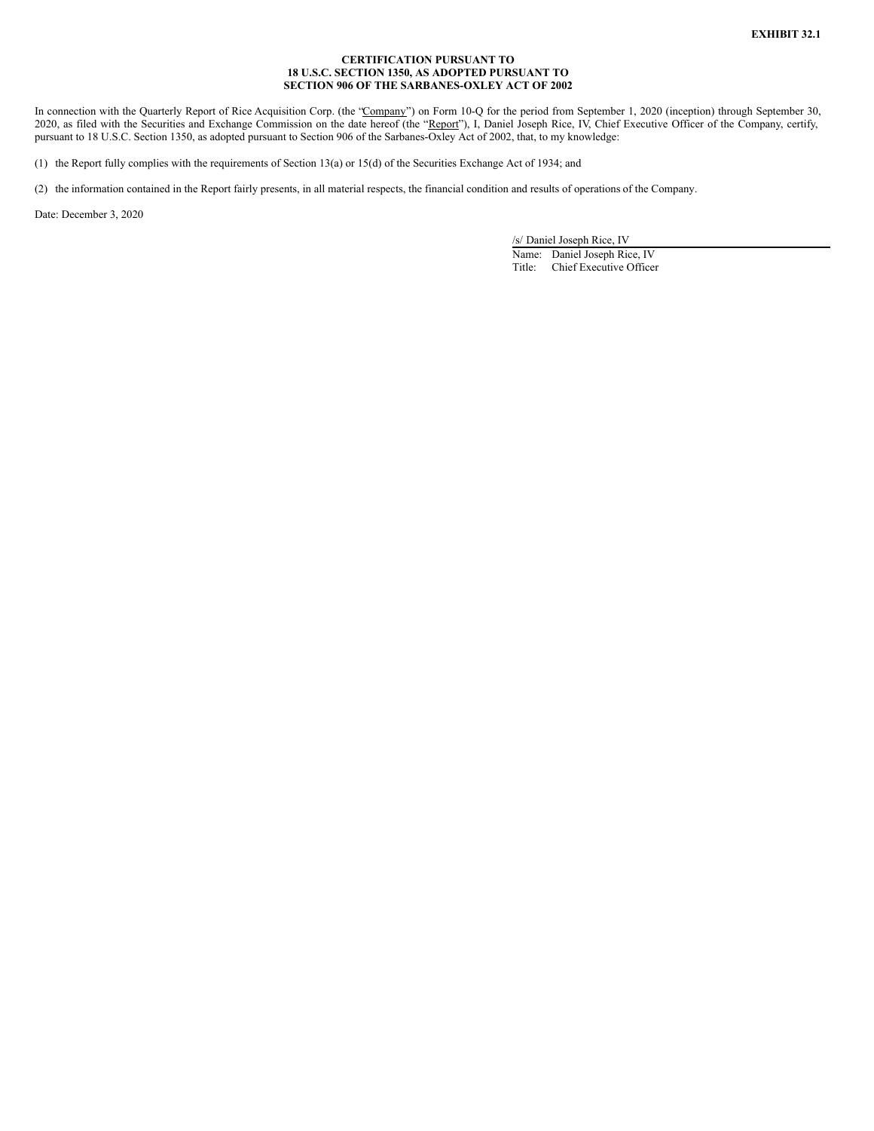## **CERTIFICATION PURSUANT TO 18 U.S.C. SECTION 1350, AS ADOPTED PURSUANT TO SECTION 906 OF THE SARBANES-OXLEY ACT OF 2002**

<span id="page-28-0"></span>In connection with the Quarterly Report of Rice Acquisition Corp. (the "Company") on Form 10-Q for the period from September 1, 2020 (inception) through September 30, 2020, as filed with the Securities and Exchange Commission on the date hereof (the "Report"), I, Daniel Joseph Rice, IV, Chief Executive Officer of the Company, certify, pursuant to 18 U.S.C. Section 1350, as adopted pursuant to Section 906 of the Sarbanes-Oxley Act of 2002, that, to my knowledge:

(1) the Report fully complies with the requirements of Section 13(a) or 15(d) of the Securities Exchange Act of 1934; and

(2) the information contained in the Report fairly presents, in all material respects, the financial condition and results of operations of the Company.

Date: December 3, 2020

/s/ Daniel Joseph Rice, IV

Name: Daniel Joseph Rice, IV Title: Chief Executive Officer